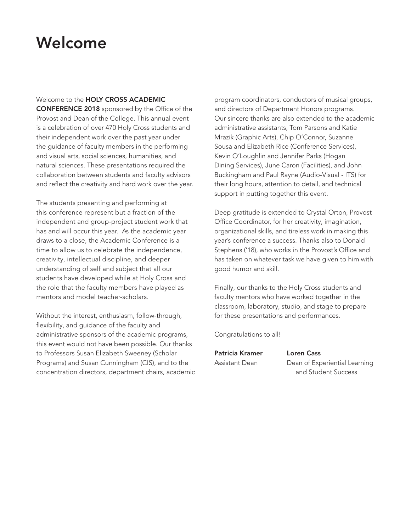## Welcome

#### Welcome to the HOLY CROSS ACADEMIC

CONFERENCE 2018 sponsored by the Office of the Provost and Dean of the College. This annual event is a celebration of over 470 Holy Cross students and their independent work over the past year under the guidance of faculty members in the performing and visual arts, social sciences, humanities, and natural sciences. These presentations required the collaboration between students and faculty advisors and reflect the creativity and hard work over the year.

The students presenting and performing at this conference represent but a fraction of the independent and group-project student work that has and will occur this year. As the academic year draws to a close, the Academic Conference is a time to allow us to celebrate the independence, creativity, intellectual discipline, and deeper understanding of self and subject that all our students have developed while at Holy Cross and the role that the faculty members have played as mentors and model teacher-scholars.

Without the interest, enthusiasm, follow-through, flexibility, and guidance of the faculty and administrative sponsors of the academic programs, this event would not have been possible. Our thanks to Professors Susan Elizabeth Sweeney (Scholar Programs) and Susan Cunningham (CIS), and to the concentration directors, department chairs, academic program coordinators, conductors of musical groups, and directors of Department Honors programs. Our sincere thanks are also extended to the academic administrative assistants, Tom Parsons and Katie Mrazik (Graphic Arts), Chip O'Connor, Suzanne Sousa and Elizabeth Rice (Conference Services), Kevin O'Loughlin and Jennifer Parks (Hogan Dining Services), June Caron (Facilities), and John Buckingham and Paul Rayne (Audio-Visual - ITS) for their long hours, attention to detail, and technical support in putting together this event.

Deep gratitude is extended to Crystal Orton, Provost Office Coordinator, for her creativity, imagination, organizational skills, and tireless work in making this year's conference a success. Thanks also to Donald Stephens ('18), who works in the Provost's Office and has taken on whatever task we have given to him with good humor and skill.

Finally, our thanks to the Holy Cross students and faculty mentors who have worked together in the classroom, laboratory, studio, and stage to prepare for these presentations and performances.

Congratulations to all!

Patricia Kramer Loren Cass

Assistant Dean Dean of Experiential Learning and Student Success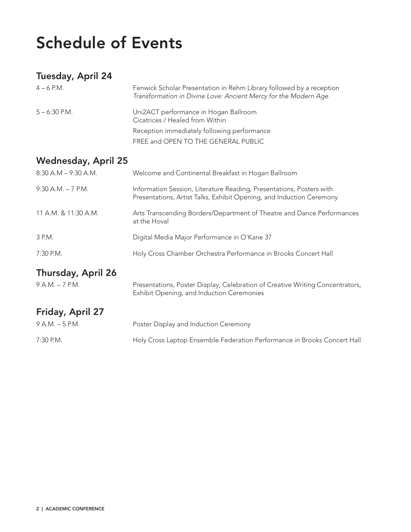## Schedule of Events

## Tuesday, April 24

| $4 - 6$ P.M.    | Fenwick Scholar Presentation in Rehm Library followed by a reception<br>Transformation in Divine Love: Ancient Mercy for the Modern Age |
|-----------------|-----------------------------------------------------------------------------------------------------------------------------------------|
| $5 - 6:30$ P.M. | Uni2ACT performance in Hogan Ballroom<br>Cicatrices / Healed from Within                                                                |
|                 | Reception immediately following performance                                                                                             |
|                 | FREE and OPEN TO THE GENERAL PUBLIC                                                                                                     |
|                 |                                                                                                                                         |

## Wednesday, April 25

| $8:30$ A.M $-$ 9:30 A.M.  | Welcome and Continental Breakfast in Hogan Ballroom                                                                                          |
|---------------------------|----------------------------------------------------------------------------------------------------------------------------------------------|
| $9:30$ A.M. $-7$ P.M.     | Information Session, Literature Reading, Presentations, Posters with<br>Presentations, Artist Talks, Exhibit Opening, and Induction Ceremony |
| 11 A.M. & 11:30 A.M.      | Arts Transcending Borders/Department of Theatre and Dance Performances<br>at the Hoval                                                       |
| 3 P.M.                    | Digital Media Major Performance in O'Kane 37                                                                                                 |
| 7:30 P.M.                 | Holy Cross Chamber Orchestra Performance in Brooks Concert Hall                                                                              |
| <b>Thursday, April 26</b> |                                                                                                                                              |
| 9 A.M. - 7 P.M.           | Presentations, Poster Display, Celebration of Creative Writing Concentrators,<br>Exhibit Opening, and Induction Ceremonies                   |
| Friday, April 27          |                                                                                                                                              |
| $9 A.M. - 5 P.M.$         | Poster Display and Induction Ceremony                                                                                                        |
| $7:30$ P.M.               | Holy Cross Laptop Ensemble Federation Performance in Brooks Concert Hall                                                                     |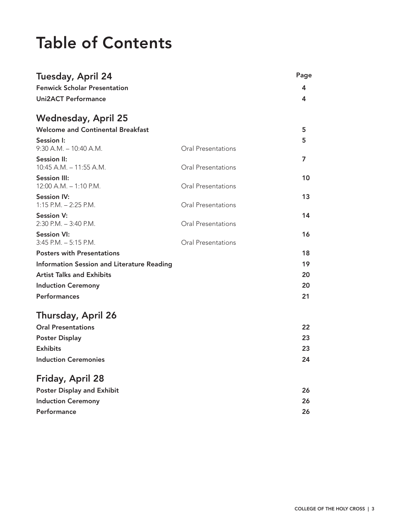## Table of Contents

| Tuesday, April 24                                 |                           | Page |
|---------------------------------------------------|---------------------------|------|
| <b>Fenwick Scholar Presentation</b>               |                           | 4    |
| <b>Uni2ACT Performance</b>                        |                           | 4    |
| <b>Wednesday, April 25</b>                        |                           |      |
| <b>Welcome and Continental Breakfast</b>          |                           | 5    |
| Session I:                                        |                           | 5    |
| $9:30$ A.M. $-10:40$ A.M.                         | <b>Oral Presentations</b> |      |
| <b>Session II:</b>                                |                           | 7    |
| 10:45 A.M. - 11:55 A.M.                           | <b>Oral Presentations</b> |      |
| <b>Session III:</b>                               |                           | 10   |
| $12:00$ A.M. $-1:10$ P.M.                         | Oral Presentations        |      |
| <b>Session IV:</b><br>$1:15$ P.M. $- 2:25$ P.M.   | Oral Presentations        | 13   |
| <b>Session V:</b>                                 |                           | 14   |
| $2:30$ P.M. $-3:40$ P.M.                          | Oral Presentations        |      |
| <b>Session VI:</b>                                |                           | 16   |
| $3:45$ P.M. $-5:15$ P.M.                          | Oral Presentations        |      |
| <b>Posters with Presentations</b>                 |                           | 18   |
| <b>Information Session and Literature Reading</b> |                           | 19   |
| <b>Artist Talks and Exhibits</b>                  |                           | 20   |
| <b>Induction Ceremony</b>                         |                           | 20   |
| <b>Performances</b>                               |                           | 21   |
| Thursday, April 26                                |                           |      |
| <b>Oral Presentations</b>                         |                           | 22   |
| <b>Poster Display</b>                             |                           | 23   |
| <b>Exhibits</b>                                   |                           | 23   |
| <b>Induction Ceremonies</b>                       |                           | 24   |
|                                                   |                           |      |
| Friday, April 28                                  |                           |      |
| <b>Poster Display and Exhibit</b>                 |                           | 26   |
| <b>Induction Ceremony</b>                         |                           | 26   |
| Performance                                       |                           | 26   |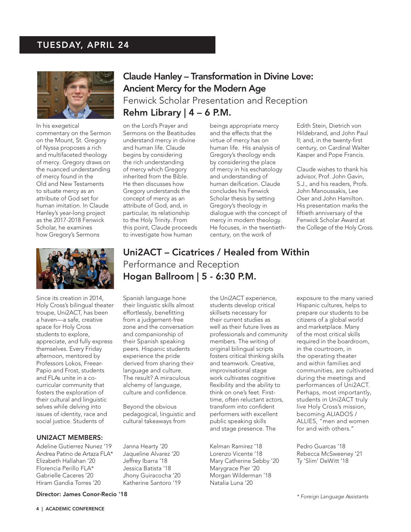### TUESDAY, APRIL 24



In his exegetical commentary on the Sermon on the Mount, St. Gregory of Nyssa proposes a rich and multifaceted theology of mercy. Gregory draws on the nuanced understanding of mercy found in the Old and New Testaments to situate mercy as an attribute of God set for human imitation. In Claude Hanley's year-long project as the 2017-2018 Fenwick Scholar, he examines how Gregory's Sermons

## Claude Hanley – Transformation in Divine Love: Ancient Mercy for the Modern Age Fenwick Scholar Presentation and Reception Rehm Library  $|$  4 – 6 P.M.

on the Lord's Prayer and Sermons on the Beatitudes understand mercy in divine and human life. Claude begins by considering the rich understanding of mercy which Gregory inherited from the Bible. He then discusses how Gregory understands the concept of mercy as an attribute of God, and, in particular, its relationship to the Holy Trinity. From this point, Claude proceeds to investigate how human

beings appropriate mercy and the effects that the virtue of mercy has on human life. His analysis of Gregory's theology ends by considering the place of mercy in his eschatology and understanding of human deification. Claude concludes his Fenwick Scholar thesis by setting Gregory's theology in dialogue with the concept of mercy in modern theology. He focuses, in the twentiethcentury, on the work of

Edith Stein, Dietrich von Hildebrand, and John Paul II; and, in the twenty-first century, on Cardinal Walter Kasper and Pope Francis.

Claude wishes to thank his advisor, Prof. John Gavin, S.J., and his readers, Profs. John Manoussakis, Lee Oser and John Hamilton. His presentation marks the fiftieth anniversary of the Fenwick Scholar Award at the College of the Holy Cross.



Since its creation in 2014, Holy Cross's bilingual theater troupe, Uni2ACT, has been a haven—a safe, creative space for Holy Cross students to explore, appreciate, and fully express themselves. Every Friday afternoon, mentored by Professors Lokos, Freear-Papio and Frost, students and FLAs unite in a cocurricular community that fosters the exploration of their cultural and linguistic selves while delving into issues of identity, race and social justice. Students of

#### UNI2ACT MEMBERS:

Adeline Gutierrez Nunez '19 Andrea Patino de Artaza FLA\* Elizabeth Hallahan '20 Florencia Perillo FLA\* Gabrielle Caceres '20 Hiram Gandia Torres '20

## Uni2ACT – Cicatrices / Healed from Within Performance and Reception Hogan Ballroom | 5 - 6:30 P.M.

Spanish language hone their linguistic skills almost effortlessly, benefitting from a judgement-free zone and the conversation and companionship of their Spanish speaking peers. Hispanic students experience the pride derived from sharing their language and culture. The result? A miraculous alchemy of language, culture and confidence.

Beyond the obvious pedagogical, linguistic and cultural takeaways from

Janna Hearty '20 Jaqueline Alvarez '20 Jeffrey Ibarra '18 Jessica Batista '18 Jhony Guiracocha '20 Katherine Santoro '19 the Uni2ACT experience, students develop critical skillsets necessary for their current studies as well as their future lives as professionals and community members. The writing of original bilingual scripts fosters critical thinking skills and teamwork. Creative, improvisational stage work cultivates cognitive flexibility and the ability to think on one's feet. Firsttime, often reluctant actors, transform into confident performers with excellent public speaking skills and stage presence. The

Kelman Ramirez '18 Lorenzo Vicente '18 Mary Catherine Sebby '20 Marygrace Pier '20 Morgan Wilderman '18 Natalia Luna '20

exposure to the many varied Hispanic cultures, helps to prepare our students to be citizens of a global world and marketplace. Many of the most critical skills required in the boardroom, in the courtroom, in the operating theater and within families and communities, are cultivated during the meetings and performances of Uni2ACT. Perhaps, most importantly, students in Uni2ACT truly live Holy Cross's mission, becoming ALIADOS / ALLIES, "men and women for and with others."

Pedro Guarcas '18 Rebecca McSweeney '21 Ty 'Slim' DeWitt '18

#### Director: James Conor-Recio '18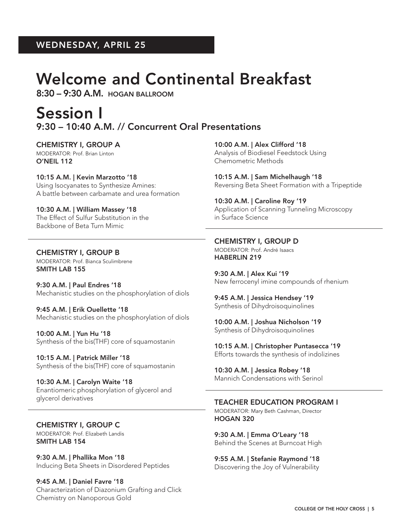## Welcome and Continental Breakfast

8:30 – 9:30 A.M. HOGAN BALLROOM

## Session I 9:30 – 10:40 A.M. // Concurrent Oral Presentations

CHEMISTRY I, GROUP A MODERATOR: Prof. Brian Linton O'NEIL 112

10:15 A.M. | Kevin Marzotto '18 Using Isocyanates to Synthesize Amines: A battle between carbamate and urea formation

10:30 A.M. | William Massey '18 The Effect of Sulfur Substitution in the Backbone of Beta Turn Mimic

CHEMISTRY I, GROUP B MODERATOR: Prof. Bianca Sculimbrene SMITH LAB 155

9:30 A.M. | Paul Endres '18 Mechanistic studies on the phosphorylation of diols

9:45 A.M. | Erik Ouellette '18 Mechanistic studies on the phosphorylation of diols

10:00 A.M. | Yun Hu '18 Synthesis of the bis(THF) core of squamostanin

10:15 A.M. | Patrick Miller '18 Synthesis of the bis(THF) core of squamostanin

10:30 A.M. | Carolyn Waite '18 Enantiomeric phosphorylation of glycerol and glycerol derivatives

CHEMISTRY I, GROUP C MODERATOR: Prof. Elizabeth Landis SMITH LAB 154

9:30 A.M. | Phallika Mon '18 Inducing Beta Sheets in Disordered Peptides

9:45 A.M. | Daniel Favre '18 Characterization of Diazonium Grafting and Click Chemistry on Nanoporous Gold

10:00 A.M. | Alex Clifford '18 Analysis of Biodiesel Feedstock Using Chemometric Methods

10:15 A.M. | Sam Michelhaugh '18 Reversing Beta Sheet Formation with a Tripeptide

10:30 A.M. | Caroline Roy '19 Application of Scanning Tunneling Microscopy in Surface Science

CHEMISTRY I, GROUP D MODERATOR: Prof. André Isaacs HABERLIN 219

9:30 A.M. | Alex Kui '19 New ferrocenyl imine compounds of rhenium

9:45 A.M. | Jessica Hendsey '19 Synthesis of Dihydroisoquinolines

10:00 A.M. | Joshua Nicholson '19 Synthesis of Dihydroisoquinolines

10:15 A.M. | Christopher Puntasecca '19 Efforts towards the synthesis of indolizines

10:30 A.M. | Jessica Robey '18 Mannich Condensations with Serinol

### TEACHER EDUCATION PROGRAM I

MODERATOR: Mary Beth Cashman, Director HOGAN 320

9:30 A.M. | Emma O'Leary '18 Behind the Scenes at Burncoat High

9:55 A.M. | Stefanie Raymond '18 Discovering the Joy of Vulnerability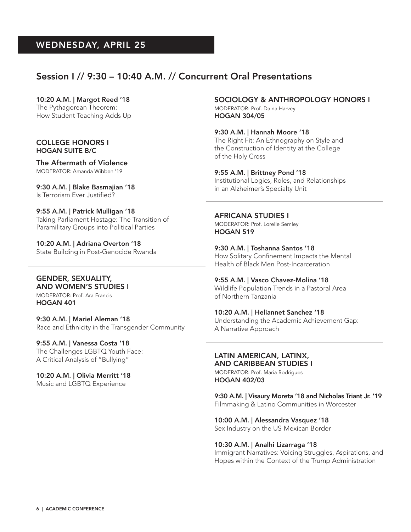### Session I // 9:30 – 10:40 A.M. // Concurrent Oral Presentations

#### 10:20 A.M. | Margot Reed '18

The Pythagorean Theorem: How Student Teaching Adds Up

#### COLLEGE HONORS I HOGAN SUITE B/C

The Aftermath of Violence MODERATOR: Amanda Wibben '19

9:30 A.M. | Blake Basmajian '18 Is Terrorism Ever Justified?

9:55 A.M. | Patrick Mulligan '18 Taking Parliament Hostage: The Transition of Paramilitary Groups into Political Parties

10:20 A.M. | Adriana Overton '18 State Building in Post-Genocide Rwanda

### GENDER, SEXUALITY,

AND WOMEN'S STUDIES I MODERATOR: Prof. Ara Francis HOGAN 401

#### 9:30 A.M. | Mariel Aleman '18

Race and Ethnicity in the Transgender Community

#### 9:55 A.M. | Vanessa Costa '18

The Challenges LGBTQ Youth Face: A Critical Analysis of "Bullying"

10:20 A.M. | Olivia Merritt '18 Music and LGBTQ Experience

#### SOCIOLOGY & ANTHROPOLOGY HONORS I MODERATOR: Prof. Daina Harvey

HOGAN 304/05

9:30 A.M. | Hannah Moore '18 The Right Fit: An Ethnography on Style and the Construction of Identity at the College of the Holy Cross

9:55 A.M. | Brittney Pond '18 Institutional Logics, Roles, and Relationships in an Alzheimer's Specialty Unit

AFRICANA STUDIES I

MODERATOR: Prof. Lorelle Semley HOGAN 519

9:30 A.M. | Toshanna Santos '18 How Solitary Confinement Impacts the Mental Health of Black Men Post-Incarceration

9:55 A.M. | Vasco Chavez-Molina '18

Wildlife Population Trends in a Pastoral Area of Northern Tanzania

10:20 A.M. | Heliannet Sanchez '18

Understanding the Academic Achievement Gap: A Narrative Approach

#### LATIN AMERICAN, LATINX, AND CARIBBEAN STUDIES I

MODERATOR: Prof. Maria Rodrigues HOGAN 402/03

9:30 A.M. | Visaury Moreta '18 and Nicholas Triant Jr. '19 Filmmaking & Latino Communities in Worcester

10:00 A.M. | Alessandra Vasquez '18 Sex Industry on the US-Mexican Border

#### 10:30 A.M. | Analhi Lizarraga '18

Immigrant Narratives: Voicing Struggles, Aspirations, and Hopes within the Context of the Trump Administration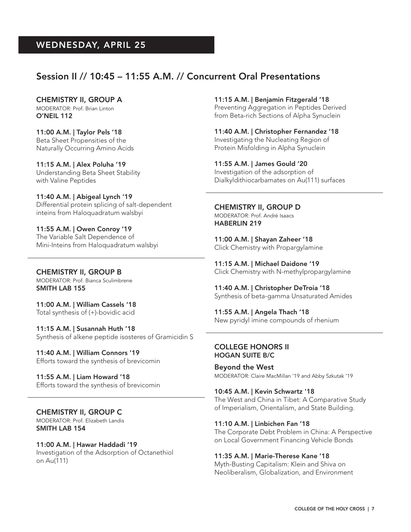### Session II // 10:45 – 11:55 A.M. // Concurrent Oral Presentations

CHEMISTRY II, GROUP A MODERATOR: Prof. Brian Linton O'NEIL 112

11:00 A.M. | Taylor Pels '18 Beta Sheet Propensities of the Naturally Occurring Amino Acids

11:15 A.M. | Alex Poluha '19 Understanding Beta Sheet Stability with Valine Peptides

11:40 A.M. | Abigeal Lynch '19 Differential protein splicing of salt-dependent inteins from Haloquadratum walsbyi

11:55 A.M. | Owen Conroy '19 The Variable Salt Dependence of Mini-Inteins from Haloquadratum walsbyi

CHEMISTRY II, GROUP B MODERATOR: Prof. Bianca Sculimbrene SMITH LAB 155

11:00 A.M. | William Cassels '18 Total synthesis of (+)-bovidic acid

11:15 A.M. | Susannah Huth '18 Synthesis of alkene peptide isosteres of Gramicidin S

11:40 A.M. | William Connors '19 Efforts toward the synthesis of brevicomin

11:55 A.M. | Liam Howard '18 Efforts toward the synthesis of brevicomin

CHEMISTRY II, GROUP C MODERATOR: Prof. Elizabeth Landis SMITH LAB 154

11:00 A.M. | Hawar Haddadi '19 Investigation of the Adsorption of Octanethiol on Au(111)

11:15 A.M. | Benjamin Fitzgerald '18 Preventing Aggregation in Peptides Derived from Beta-rich Sections of Alpha Synuclein

11:40 A.M. | Christopher Fernandez '18 Investigating the Nucleating Region of Protein Misfolding in Alpha Synuclein

11:55 A.M. | James Gould '20 Investigation of the adsorption of Dialkyldithiocarbamates on Au(111) surfaces

CHEMISTRY II, GROUP D MODERATOR: Prof. André Isaacs HABERLIN 219

11:00 A.M. | Shayan Zaheer '18 Click Chemistry with Propargylamine

11:15 A.M. | Michael Daidone '19 Click Chemistry with N-methylpropargylamine

11:40 A.M. | Christopher DeTroia '18 Synthesis of beta-gamma Unsaturated Amides

11:55 A.M. | Angela Thach '18 New pyridyl imine compounds of rhenium

#### COLLEGE HONORS II HOGAN SUITE B/C

Beyond the West MODERATOR: Claire MacMillan '19 and Abby Szkutak '19

10:45 A.M. | Kevin Schwartz '18 The West and China in Tibet: A Comparative Study of Imperialism, Orientalism, and State Building.

11:10 A.M. | Linbichen Fan '18 The Corporate Debt Problem in China: A Perspective on Local Government Financing Vehicle Bonds

11:35 A.M. | Marie-Therese Kane '18 Myth-Busting Capitalism: Klein and Shiva on Neoliberalism, Globalization, and Environment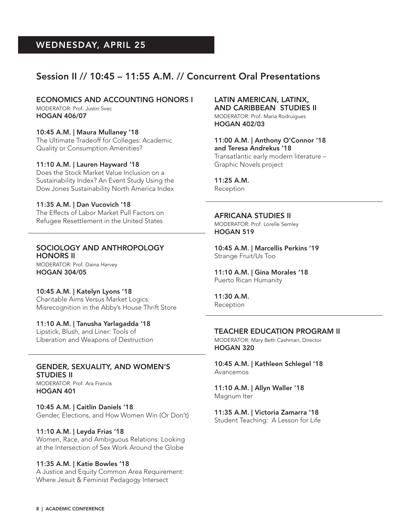## Session II // 10:45 – 11:55 A.M. // Concurrent Oral Presentations

ECONOMICS AND ACCOUNTING HONORS I

MODERATOR: Prof. Justin Svec HOGAN 406/07

10:45 A.M. | Maura Mullaney '18 The Ultimate Tradeoff for Colleges: Academic Quality or Consumption Amenities?

#### 11:10 A.M. | Lauren Hayward '18

Does the Stock Market Value Inclusion on a Sustainability Index? An Event Study Using the Dow Jones Sustainability North America Index

11:35 A.M. | Dan Vucovich '18 The Effects of Labor Market Pull Factors on Refugee Resettlement in the United States

#### SOCIOLOGY AND ANTHROPOLOGY HONORS II

MODERATOR: Prof. Daina Harvey HOGAN 304/05

10:45 A.M. | Katelyn Lyons '18 Charitable Aims Versus Market Logics: Misrecognition in the Abby's House Thrift Store

11:10 A.M. | Tanusha Yarlagadda '18 Lipstick, Blush, and Liner: Tools of Liberation and Weapons of Destruction

#### GENDER, SEXUALITY, AND WOMEN'S STUDIES II

MODERATOR: Prof. Ara Francis HOGAN 401

10:45 A.M. | Caitlin Daniels '18 Gender, Elections, and How Women Win (Or Don't)

#### 11:10 A.M. | Leyda Frias '18

Women, Race, and Ambiguous Relations: Looking at the Intersection of Sex Work Around the Globe

#### 11:35 A.M. | Katie Bowles '18

A Justice and Equity Common Area Requirement: Where Jesuit & Feminist Pedagogy Intersect

#### LATIN AMERICAN, LATINX, AND CARIBBEAN STUDIES II

MODERATOR: Prof. Maria Rodruigues HOGAN 402/03

11:00 A.M. | Anthony O'Connor '18 and Teresa Andrekus '18 Transatlantic early modern literature – Graphic Novels project

11:25 A.M. Reception

AFRICANA STUDIES II MODERATOR: Prof. Lorelle Semley HOGAN 519

10:45 A.M. | Marcellis Perkins '19 Strange Fruit/Us Too

11:10 A.M. | Gina Morales '18 Puerto Rican Humanity

11:30 A.M. Reception

#### TEACHER EDUCATION PROGRAM II

MODERATOR: Mary Beth Cashman, Director HOGAN 320

10:45 A.M. | Kathleen Schlegel '18 Avancemos

11:10 A.M. | Allyn Waller '18 Magnum Iter

11:35 A.M. | Victoria Zamarra '18

Student Teaching: A Lesson for Life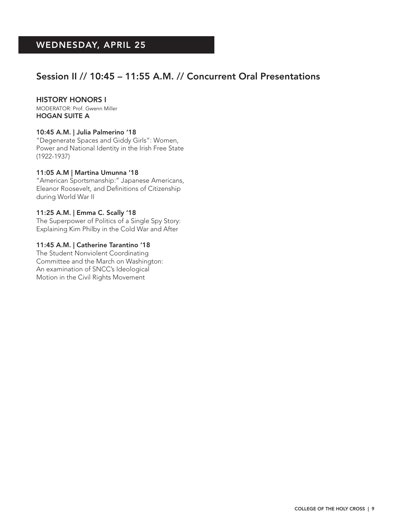## Session II // 10:45 – 11:55 A.M. // Concurrent Oral Presentations

#### HISTORY HONORS I

MODERATOR: Prof. Gwenn Miller HOGAN SUITE A

#### 10:45 A.M. | Julia Palmerino '18

"Degenerate Spaces and Giddy Girls": Women, Power and National Identity in the Irish Free State (1922-1937)

#### 11:05 A.M | Martina Umunna '18

"American Sportsmanship:" Japanese Americans, Eleanor Roosevelt, and Definitions of Citizenship during World War II

#### 11:25 A.M. | Emma C. Scally '18

The Superpower of Politics of a Single Spy Story: Explaining Kim Philby in the Cold War and After

#### 11:45 A.M. | Catherine Tarantino '18

The Student Nonviolent Coordinating Committee and the March on Washington: An examination of SNCC's Ideological Motion in the Civil Rights Movement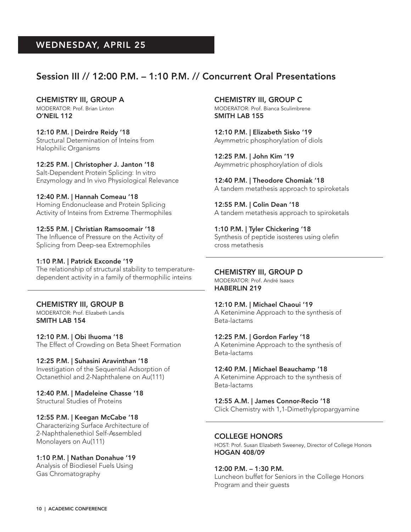## Session III // 12:00 P.M. – 1:10 P.M. // Concurrent Oral Presentations

CHEMISTRY III, GROUP A

MODERATOR: Prof. Brian Linton O'NEIL 112

12:10 P.M. | Deirdre Reidy '18 Structural Determination of Inteins from Halophilic Organisms

12:25 P.M. | Christopher J. Janton '18 Salt-Dependent Protein Splicing: In vitro Enzymology and In vivo Physiological Relevance

12:40 P.M. | Hannah Comeau '18 Homing Endonuclease and Protein Splicing Activity of Inteins from Extreme Thermophiles

12:55 P.M. | Christian Ramsoomair '18 The Influence of Pressure on the Activity of Splicing from Deep-sea Extremophiles

#### 1:10 P.M. | Patrick Exconde '19

The relationship of structural stability to temperaturedependent activity in a family of thermophilic inteins

#### CHEMISTRY III, GROUP B

MODERATOR: Prof. Elizabeth Landis SMITH LAB 154

12:10 P.M. | Obi Ihuoma '18 The Effect of Crowding on Beta Sheet Formation

#### 12:25 P.M. | Suhasini Aravinthan '18

Investigation of the Sequential Adsorption of Octanethiol and 2-Naphthalene on Au(111)

12:40 P.M. | Madeleine Chasse '18 Structural Studies of Proteins

12:55 P.M. | Keegan McCabe '18

Characterizing Surface Architecture of 2-Naphthalenethiol Self-Assembled Monolayers on Au(111)

1:10 P.M. | Nathan Donahue '19

Analysis of Biodiesel Fuels Using Gas Chromatography

CHEMISTRY III, GROUP C MODERATOR: Prof. Bianca Sculimbrene SMITH LAB 155

12:10 P.M. | Elizabeth Sisko '19 Asymmetric phosphorylation of diols

12:25 P.M. | John Kim '19 Asymmetric phosphorylation of diols

12:40 P.M. | Theodore Chomiak '18 A tandem metathesis approach to spiroketals

12:55 P.M. | Colin Dean '18 A tandem metathesis approach to spiroketals

1:10 P.M. | Tyler Chickering '18 Synthesis of peptide isosteres using olefin cross metathesis

#### CHEMISTRY III, GROUP D

MODERATOR: Prof. André Isaacs HABERLIN 219

#### 12:10 P.M. | Michael Chaoui '19

A Ketenimine Approach to the synthesis of Beta-lactams

12:25 P.M. | Gordon Farley '18

A Ketenimine Approach to the synthesis of Beta-lactams

12:40 P.M. | Michael Beauchamp '18

A Ketenimine Approach to the synthesis of Beta-lactams

12:55 A.M. | James Connor-Recio '18

Click Chemistry with 1,1-Dimethylpropargyamine

#### COLLEGE HONORS

HOST: Prof. Susan Elizabeth Sweeney, Director of College Honors HOGAN 408/09

#### 12:00 P.M. – 1:30 P.M.

Luncheon buffet for Seniors in the College Honors Program and their guests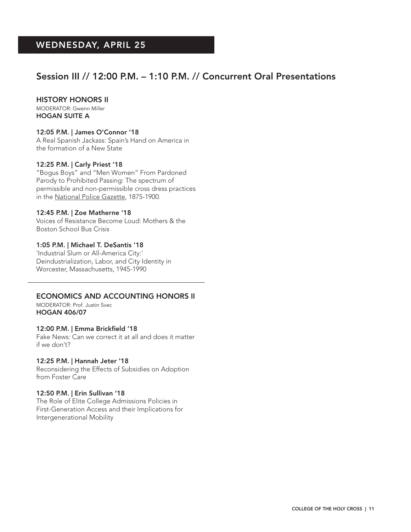## Session III // 12:00 P.M. – 1:10 P.M. // Concurrent Oral Presentations

#### HISTORY HONORS II

MODERATOR: Gwenn Miller HOGAN SUITE A

#### 12:05 P.M. | James O'Connor '18

A Real Spanish Jackass: Spain's Hand on America in the formation of a New State

#### 12:25 P.M. | Carly Priest '18

"Bogus Boys" and "Men Women" From Pardoned Parody to Prohibited Passing: The spectrum of permissible and non-permissible cross dress practices in the National Police Gazette, 1875-1900.

#### 12:45 P.M. | Zoe Matherne '18

Voices of Resistance Become Loud: Mothers & the Boston School Bus Crisis

#### 1:05 P.M. | Michael T. DeSantis '18

'Industrial Slum or All-America City:' Deindustrialization, Labor, and City Identity in Worcester, Massachusetts, 1945-1990

#### ECONOMICS AND ACCOUNTING HONORS II

MODERATOR: Prof. Justin Svec HOGAN 406/07

#### 12:00 P.M. | Emma Brickfield '18

Fake News: Can we correct it at all and does it matter if we don't?

#### 12:25 P.M. | Hannah Jeter '18

Reconsidering the Effects of Subsidies on Adoption from Foster Care

#### 12:50 P.M. | Erin Sullivan '18

The Role of Elite College Admissions Policies in First-Generation Access and their Implications for Intergenerational Mobility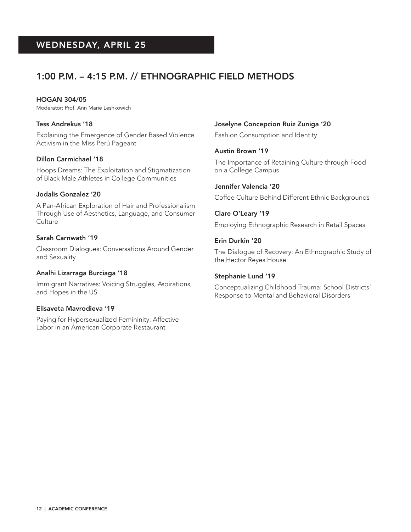## 1:00 P.M. – 4:15 P.M. // ETHNOGRAPHIC FIELD METHODS

HOGAN 304/05 Moderator: Prof. Ann Marie Leshkowich

### Tess Andrekus '18

Explaining the Emergence of Gender Based Violence Activism in the Miss Perú Pageant

#### Dillon Carmichael '18

Hoops Dreams: The Exploitation and Stigmatization of Black Male Athletes in College Communities

#### Jodalis Gonzalez '20

A Pan-African Exploration of Hair and Professionalism Through Use of Aesthetics, Language, and Consumer **Culture** 

#### Sarah Carnwath '19

Classroom Dialogues: Conversations Around Gender and Sexuality

#### Analhi Lizarraga Burciaga '18

Immigrant Narratives: Voicing Struggles, Aspirations, and Hopes in the US

#### Elisaveta Mavrodieva '19

Paying for Hypersexualized Femininity: Affective Labor in an American Corporate Restaurant

#### Joselyne Concepcion Ruiz Zuniga '20

Fashion Consumption and Identity

#### Austin Brown '19

The Importance of Retaining Culture through Food on a College Campus

#### Jennifer Valencia '20

Coffee Culture Behind Different Ethnic Backgrounds

#### Clare O'Leary '19

Employing Ethnographic Research in Retail Spaces

#### Erin Durkin '20

The Dialogue of Recovery: An Ethnographic Study of the Hector Reyes House

#### Stephanie Lund '19

Conceptualizing Childhood Trauma: School Districts' Response to Mental and Behavioral Disorders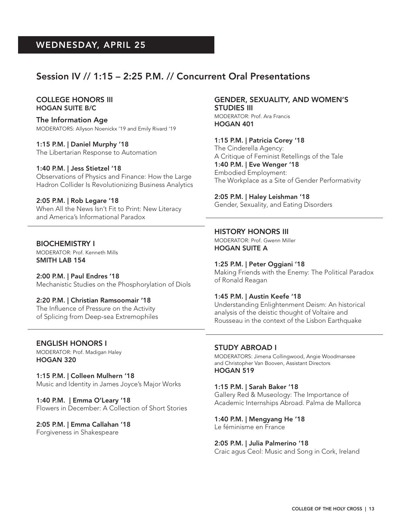## Session IV // 1:15 – 2:25 P.M. // Concurrent Oral Presentations

#### COLLEGE HONORS III HOGAN SUITE B/C

The Information Age MODERATORS: Allyson Noenickx '19 and Emily Rivard '19

1:15 P.M. | Daniel Murphy '18 The Libertarian Response to Automation

1:40 P.M. | Jess Stietzel '18

Observations of Physics and Finance: How the Large Hadron Collider Is Revolutionizing Business Analytics

2:05 P.M. | Rob Legare '18 When All the News Isn't Fit to Print: New Literacy and America's Informational Paradox

BIOCHEMISTRY I MODERATOR: Prof. Kenneth Mills SMITH LAB 154

2:00 P.M. | Paul Endres '18 Mechanistic Studies on the Phosphorylation of Diols

2:20 P.M. | Christian Ramsoomair '18 The Influence of Pressure on the Activity of Splicing from Deep-sea Extremophiles

ENGLISH HONORS I MODERATOR: Prof. Madigan Haley HOGAN 320

1:15 P.M. | Colleen Mulhern '18 Music and Identity in James Joyce's Major Works

1:40 P.M. | Emma O'Leary '18 Flowers in December: A Collection of Short Stories

2:05 P.M. | Emma Callahan '18 Forgiveness in Shakespeare

GENDER, SEXUALITY, AND WOMEN'S STUDIES III MODERATOR: Prof. Ara Francis

HOGAN 401

1:15 P.M. | Patricia Corey '18 The Cinderella Agency: A Critique of Feminist Retellings of the Tale 1:40 P.M. | Eve Wenger '18 Embodied Employment: The Workplace as a Site of Gender Performativity

2:05 P.M. | Haley Leishman '18 Gender, Sexuality, and Eating Disorders

HISTORY HONORS III MODERATOR: Prof. Gwenn Miller HOGAN SUITE A

1:25 P.M. | Peter Oggiani '18 Making Friends with the Enemy: The Political Paradox of Ronald Reagan

1:45 P.M. | Austin Keefe '18 Understanding Enlightenment Deism: An historical analysis of the deistic thought of Voltaire and Rousseau in the context of the Lisbon Earthquake

STUDY ABROAD I MODERATORS: Jimena Collingwood, Angie Woodmansee and Christopher Van Booven, Assistant Directors HOGAN 519

1:15 P.M. | Sarah Baker '18 Gallery Red & Museology: The Importance of Academic Internships Abroad. Palma de Mallorca

1:40 P.M. | Mengyang He '18 Le féminisme en France

2:05 P.M. | Julia Palmerino '18 Craic agus Ceol: Music and Song in Cork, Ireland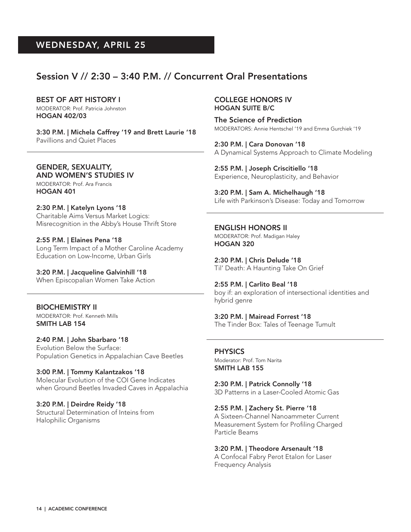### Session V // 2:30 – 3:40 P.M. // Concurrent Oral Presentations

#### BEST OF ART HISTORY I

MODERATOR: Prof. Patricia Johnston HOGAN 402/03

3:30 P.M. | Michela Caffrey '19 and Brett Laurie '18 Pavillions and Quiet Places

GENDER, SEXUALITY, AND WOMEN'S STUDIES IV MODERATOR: Prof. Ara Francis HOGAN 401

2:30 P.M. | Katelyn Lyons '18 Charitable Aims Versus Market Logics: Misrecognition in the Abby's House Thrift Store

2:55 P.M. | Elaines Pena '18 Long Term Impact of a Mother Caroline Academy Education on Low-Income, Urban Girls

3:20 P.M. | Jacqueline Galvinhill '18 When Episcopalian Women Take Action

BIOCHEMISTRY II MODERATOR: Prof. Kenneth Mills SMITH LAB 154

2:40 P.M. | John Sbarbaro '18 Evolution Below the Surface: Population Genetics in Appalachian Cave Beetles

3:00 P.M. | Tommy Kalantzakos '18 Molecular Evolution of the COI Gene Indicates when Ground Beetles Invaded Caves in Appalachia

3:20 P.M. | Deirdre Reidy '18 Structural Determination of Inteins from Halophilic Organisms

#### COLLEGE HONORS IV HOGAN SUITE B/C

The Science of Prediction MODERATORS: Annie Hentschel '19 and Emma Gurchiek '19

2:30 P.M. | Cara Donovan '18 A Dynamical Systems Approach to Climate Modeling

2:55 P.M. | Joseph Criscitiello '18 Experience, Neuroplasticity, and Behavior

3:20 P.M. | Sam A. Michelhaugh '18 Life with Parkinson's Disease: Today and Tomorrow

ENGLISH HONORS II MODERATOR: Prof. Madigan Haley HOGAN 320

2:30 P.M. | Chris Delude '18 Til' Death: A Haunting Take On Grief

2:55 P.M. | Carlito Beal '18 boy if: an exploration of intersectional identities and hybrid genre

3:20 P.M. | Mairead Forrest '18 The Tinder Box: Tales of Teenage Tumult

PHYSICS Moderator: Prof. Tom Narita SMITH LAB 155

2:30 P.M. | Patrick Connolly '18 3D Patterns in a Laser-Cooled Atomic Gas

2:55 P.M. | Zachery St. Pierre '18 A Sixteen-Channel Nanoammeter Current Measurement System for Profiling Charged Particle Beams

3:20 P.M. | Theodore Arsenault '18 A Confocal Fabry Perot Etalon for Laser Frequency Analysis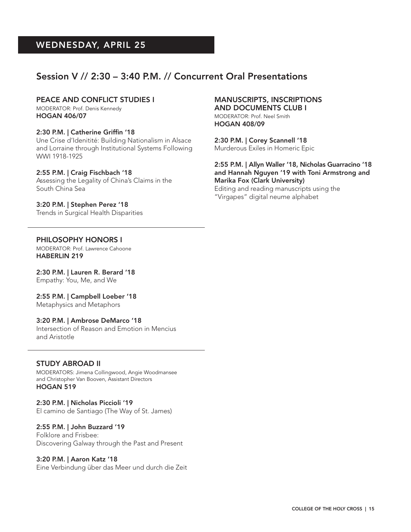## Session V // 2:30 – 3:40 P.M. // Concurrent Oral Presentations

#### PEACE AND CONFLICT STUDIES I

MODERATOR: Prof. Denis Kennedy HOGAN 406/07

#### 2:30 P.M. | Catherine Griffin '18

Une Crise d'Idenitité: Building Nationalism in Alsace and Lorraine through Institutional Systems Following WWI 1918-1925

#### 2:55 P.M. | Craig Fischbach '18

Assessing the Legality of China's Claims in the South China Sea

#### 3:20 P.M. | Stephen Perez '18

Trends in Surgical Health Disparities

#### MANUSCRIPTS, INSCRIPTIONS AND DOCUMENTS CLUB I

MODERATOR: Prof. Neel Smith HOGAN 408/09

2:30 P.M. | Corey Scannell '18 Murderous Exiles in Homeric Epic

#### 2:55 P.M. | Allyn Waller '18, Nicholas Guarracino '18 and Hannah Nguyen '19 with Toni Armstrong and Marika Fox (Clark University)

Editing and reading manuscripts using the "Virgapes" digital neume alphabet

#### PHILOSOPHY HONORS I

MODERATOR: Prof. Lawrence Cahoone HABERLIN 219

2:30 P.M. | Lauren R. Berard '18 Empathy: You, Me, and We

2:55 P.M. | Campbell Loeber '18 Metaphysics and Metaphors

#### 3:20 P.M. | Ambrose DeMarco '18

Intersection of Reason and Emotion in Mencius and Aristotle

#### STUDY ABROAD II

MODERATORS: Jimena Collingwood, Angie Woodmansee and Christopher Van Booven, Assistant Directors HOGAN 519

2:30 P.M. | Nicholas Piccioli '19 El camino de Santiago (The Way of St. James)

#### 2:55 P.M. | John Buzzard '19

Folklore and Frisbee: Discovering Galway through the Past and Present

#### 3:20 P.M. | Aaron Katz '18

Eine Verbindung über das Meer und durch die Zeit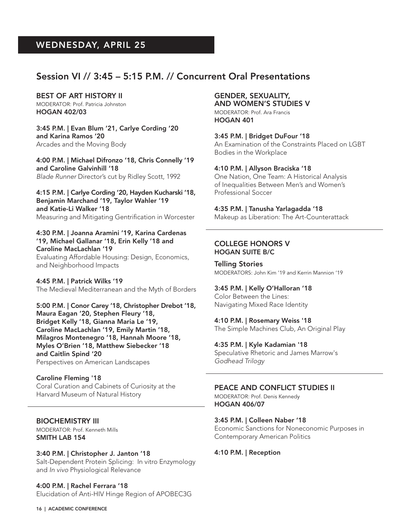### Session VI // 3:45 – 5:15 P.M. // Concurrent Oral Presentations

#### BEST OF ART HISTORY II

MODERATOR: Prof. Patricia Johnston HOGAN 402/03

3:45 P.M. | Evan Blum '21, Carlye Cording '20 and Karina Ramos '20 Arcades and the Moving Body

4:00 P.M. | Michael Difronzo '18, Chris Connelly '19 and Caroline Galvinhill '18 *Blade Runner* Director's cut by Ridley Scott, 1992

4:15 P.M. | Carlye Cording '20, Hayden Kucharski '18, Benjamin Marchand '19, Taylor Wahler '19 and Katie-Li Walker '18 Measuring and Mitigating Gentrification in Worcester

4:30 P.M. | Joanna Aramini '19, Karina Cardenas '19, Michael Gallanar '18, Erin Kelly '18 and Caroline MacLachlan '19

Evaluating Affordable Housing: Design, Economics, and Neighborhood Impacts

4:45 P.M. | Patrick Wilks '19 The Medieval Mediterranean and the Myth of Borders

5:00 P.M. | Conor Carey '18, Christopher Drebot '18, Maura Eagan '20, Stephen Fleury '18, Bridget Kelly '18, Gianna Maria Le '19, Caroline MacLachlan '19, Emily Martin '18, Milagros Montenegro '18, Hannah Moore '18, Myles O'Brien '18, Matthew Siebecker '18 and Caitlin Spind '20 Perspectives on American Landscapes

Caroline Fleming '18 Coral Curation and Cabinets of Curiosity at the Harvard Museum of Natural History

BIOCHEMISTRY III MODERATOR: Prof. Kenneth Mills SMITH LAB 154

16 | ACADEMIC CONFERENCE

3:40 P.M. | Christopher J. Janton '18 Salt-Dependent Protein Splicing: In vitro Enzymology and *In vivo* Physiological Relevance

4:00 P.M. | Rachel Ferrara '18 Elucidation of Anti-HIV Hinge Region of APOBEC3G

#### GENDER, SEXUALITY, AND WOMEN'S STUDIES V MODERATOR: Prof. Ara Francis HOGAN 401

3:45 P.M. | Bridget DuFour '18 An Examination of the Constraints Placed on LGBT Bodies in the Workplace

4:10 P.M. | Allyson Braciska '18 One Nation, One Team: A Historical Analysis of Inequalities Between Men's and Women's Professional Soccer

4:35 P.M. | Tanusha Yarlagadda '18 Makeup as Liberation: The Art-Counterattack

#### COLLEGE HONORS V HOGAN SUITE B/C

Telling Stories MODERATORS: John Kim '19 and Kerrin Mannion '19

3:45 P.M. | Kelly O'Halloran '18 Color Between the Lines: Navigating Mixed Race Identity

4:10 P.M. | Rosemary Weiss '18 The Simple Machines Club, An Original Play

4:35 P.M. | Kyle Kadamian '18 Speculative Rhetoric and James Marrow's *Godhead Trilogy*

PEACE AND CONFLICT STUDIES II

MODERATOR: Prof. Denis Kennedy HOGAN 406/07

3:45 P.M. | Colleen Naber '18 Economic Sanctions for Noneconomic Purposes in Contemporary American Politics

4:10 P.M. | Reception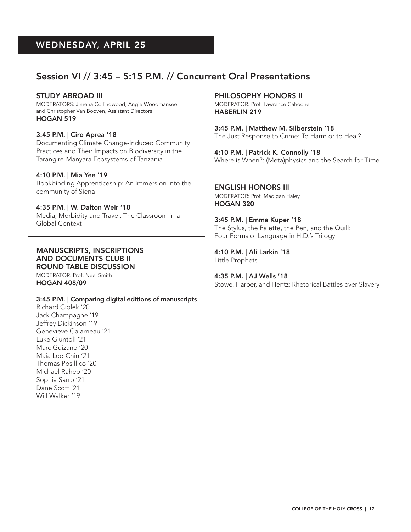## Session VI // 3:45 – 5:15 P.M. // Concurrent Oral Presentations

#### STUDY ABROAD III

MODERATORS: Jimena Collingwood, Angie Woodmansee and Christopher Van Booven, Assistant Directors HOGAN 519

#### 3:45 P.M. | Ciro Aprea '18

Documenting Climate Change-Induced Community Practices and Their Impacts on Biodiversity in the Tarangire-Manyara Ecosystems of Tanzania

#### 4:10 P.M. | Mia Yee '19

Bookbinding Apprenticeship: An immersion into the community of Siena

#### 4:35 P.M. | W. Dalton Weir '18

Media, Morbidity and Travel: The Classroom in a Global Context

#### MANUSCRIPTS, INSCRIPTIONS AND DOCUMENTS CLUB II ROUND TABLE DISCUSSION

MODERATOR: Prof. Neel Smith HOGAN 408/09

#### 3:45 P.M. | Comparing digital editions of manuscripts

Richard Ciolek '20 Jack Champagne '19 Jeffrey Dickinson '19 Genevieve Galarneau '21 Luke Giuntoli '21 Marc Guizano '20 Maia Lee-Chin '21 Thomas Posillico '20 Michael Raheb '20 Sophia Sarro '21 Dane Scott '21 Will Walker '19

#### PHILOSOPHY HONORS II

MODERATOR: Prof. Lawrence Cahoone HABERLIN 219

3:45 P.M. | Matthew M. Silberstein '18 The Just Response to Crime: To Harm or to Heal?

4:10 P.M. | Patrick K. Connolly '18 Where is When?: (Meta)physics and the Search for Time

#### ENGLISH HONORS III

MODERATOR: Prof. Madigan Haley HOGAN 320

3:45 P.M. | Emma Kuper '18 The Stylus, the Palette, the Pen, and the Quill: Four Forms of Language in H.D.'s Trilogy

4:10 P.M. | Ali Larkin '18 Little Prophets

4:35 P.M. | AJ Wells '18 Stowe, Harper, and Hentz: Rhetorical Battles over Slavery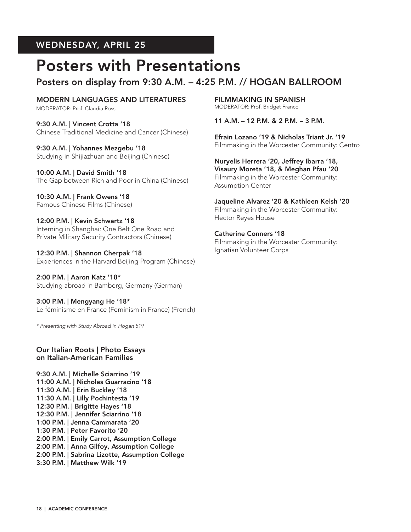## Posters with Presentations

## Posters on display from 9:30 A.M. – 4:25 P.M. // HOGAN BALLROOM

MODERN LANGUAGES AND LITERATURES MODERATOR: Prof. Claudia Ross

9:30 A.M. | Vincent Crotta '18 Chinese Traditional Medicine and Cancer (Chinese)

9:30 A.M. | Yohannes Mezgebu '18 Studying in Shijiazhuan and Beijing (Chinese)

10:00 A.M. | David Smith '18 The Gap between Rich and Poor in China (Chinese)

10:30 A.M. | Frank Owens '18 Famous Chinese Films (Chinese)

12:00 P.M. | Kevin Schwartz '18 Interning in Shanghai: One Belt One Road and Private Military Security Contractors (Chinese)

12:30 P.M. | Shannon Cherpak '18 Experiences in the Harvard Beijing Program (Chinese)

2:00 P.M. | Aaron Katz '18\* Studying abroad in Bamberg, Germany (German)

3:00 P.M. | Mengyang He '18\* Le féminisme en France (Feminism in France) (French)

*\* Presenting with Study Abroad in Hogan 519*

Our Italian Roots | Photo Essays on Italian-American Families

9:30 A.M. | Michelle Sciarrino '19 11:00 A.M. | Nicholas Guarracino '18 11:30 A.M. | Erin Buckley '18 11:30 A.M. | Lilly Pochintesta '19 12:30 P.M. | Brigitte Hayes '18 12:30 P.M. | Jennifer Sciarrino '18 1:00 P.M. | Jenna Cammarata '20 1:30 P.M. | Peter Favorito '20 2:00 P.M. | Emily Carrot, Assumption College 2:00 P.M. | Anna Gilfoy, Assumption College 2:00 P.M. | Sabrina Lizotte, Assumption College 3:30 P.M. | Matthew Wilk '19

FILMMAKING IN SPANISH MODERATOR: Prof. Bridget Franco

11 A.M. – 12 P.M. & 2 P.M. – 3 P.M.

Efrain Lozano '19 & Nicholas Triant Jr. '19 Filmmaking in the Worcester Community: Centro

Nuryelis Herrera '20, Jeffrey Ibarra '18, Visaury Moreta '18, & Meghan Pfau '20 Filmmaking in the Worcester Community: Assumption Center

Jaqueline Alvarez '20 & Kathleen Kelsh '20 Filmmaking in the Worcester Community: Hector Reyes House

Catherine Conners '18 Filmmaking in the Worcester Community: Ignatian Volunteer Corps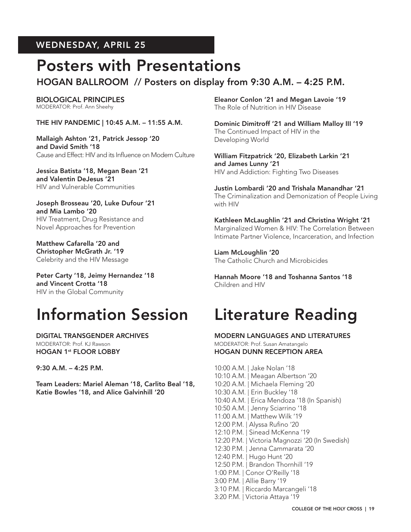## Posters with Presentations

## HOGAN BALLROOM // Posters on display from 9:30 A.M. – 4:25 P.M.

BIOLOGICAL PRINCIPLES MODERATOR: Prof. Ann Sheehy

THE HIV PANDEMIC | 10:45 A.M. – 11:55 A.M.

Mallaigh Ashton '21, Patrick Jessop '20 and David Smith '18 Cause and Effect: HIV and its Influence on Modern Culture

Jessica Batista '18, Megan Bean '21 and Valentin DeJesus '21 HIV and Vulnerable Communities

Joseph Brosseau '20, Luke Dufour '21 and Mia Lambo '20 HIV Treatment, Drug Resistance and Novel Approaches for Prevention

Matthew Cafarella '20 and Christopher McGrath Jr. '19 Celebrity and the HIV Message

Peter Carty '18, Jeimy Hernandez '18 and Vincent Crotta '18 HIV in the Global Community

## Information Session Literature Reading

DIGITAL TRANSGENDER ARCHIVES MODERATOR: Prof. KJ Rawson HOGAN 1st FLOOR LOBBY

9:30 A.M. – 4:25 P.M.

Team Leaders: Mariel Aleman '18, Carlito Beal '18, Katie Bowles '18, and Alice Galvinhill '20

Eleanor Conlon '21 and Megan Lavoie '19 The Role of Nutrition in HIV Disease

Dominic Dimitroff '21 and William Malloy III '19 The Continued Impact of HIV in the Developing World

William Fitzpatrick '20, Elizabeth Larkin '21 and James Lunny '21 HIV and Addiction: Fighting Two Diseases

Justin Lombardi '20 and Trishala Manandhar '21 The Criminalization and Demonization of People Living with HIV

Kathleen McLaughlin '21 and Christina Wright '21 Marginalized Women & HIV: The Correlation Between Intimate Partner Violence, Incarceration, and Infection

Liam McLoughlin '20 The Catholic Church and Microbicides

Hannah Moore '18 and Toshanna Santos '18 Children and HIV

MODERN LANGUAGES AND LITERATURES MODERATOR: Prof. Susan Amatangelo HOGAN DUNN RECEPTION AREA

10:00 A.M. | Jake Nolan '18 10:10 A.M. | Meagan Albertson '20 10:20 A.M. | Michaela Fleming '20 10:30 A.M. | Erin Buckley '18 10:40 A.M. | Erica Mendoza '18 (In Spanish) 10:50 A.M. | Jenny Sciarrino '18 11:00 A.M. | Matthew Wilk '19 12:00 P.M. | Alyssa Rufino '20 12:10 P.M. | Sinead McKenna '19 12:20 P.M. | Victoria Magnozzi '20 (In Swedish) 12:30 P.M. | Jenna Cammarata '20 12:40 P.M. | Hugo Hunt '20 12:50 P.M. | Brandon Thornhill '19 1:00 P.M. | Conor O'Reilly '18 3:00 P.M. | Allie Barry '19 3:10 P.M. | Riccardo Marcangeli '18 3:20 P.M. | Victoria Attaya '19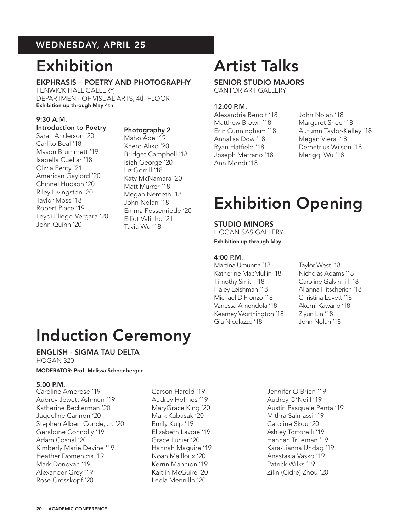## Exhibition

#### EKPHRASIS – POETRY AND PHOTOGRAPHY FENWICK HALL GALLERY,

DEPARTMENT OF VISUAL ARTS, 4th FLOOR Exhibition up through May 4th

#### 9:30 A.M.

### Introduction to Poetry

Sarah Anderson '20 Carlito Beal '18 Mason Brummett '19 Isabella Cuellar '18 Olivia Fenty '21 American Gaylord '20 Chinnel Hudson '20 Riley Livingston '20 Taylor Moss '18 Robert Place '19 Leydi Pliego-Vergara '20 John Quinn '20

### Photography 2

Maho Abe '19 Xherd Aliko '20 Bridget Campbell '18 Isiah George '20 Liz Gorrill '18 Katy McNamara '20 Matt Murrer '18 Megan Nemeth '18 John Nolan '18 Emma Possenriede '20 Elliot Valinho '21 Tavia Wu '18

# Artist Talks

#### SENIOR STUDIO MAJORS CANTOR ART GALLERY

#### 12:00 P.M.

- Alexandria Benoit '18 John Nolan '18 Matthew Brown '18 Margaret Snee '18 Annalisa Dow '18 Megan Viera '18 Ryan Hatfield '18 Demetrius Wilson '18 Joseph Metrano '18 Mengqi Wu '18 Ann Mondi '18
- Erin Cunningham '18 Autumn Taylor-Kelley '18

## Exhibition Opening

#### STUDIO MINORS

HOGAN SAS GALLERY, Exhibition up through May

#### 4:00 P.M.

Martina Umunna '18 Taylor West '18 Katherine MacMullin '18 Nicholas Adams '18 Timothy Smith '18 Caroline Galvinhill '18 Haley Leishman '18 Allanna Hitscherich '18 Michael DiFronzo '18 Christina Lovett '18 Vanessa Amendola '18 Akemi Kawano '18 Kearney Worthington '18 Ziyun Lin '18 Gia Nicolazzo '18 John Nolan '18

## Induction Ceremony

#### ENGLISH - SIGMA TAU DELTA

HOGAN 320

#### MODERATOR: Prof. Melissa Schoenberger

#### 5:00 P.M.

Caroline Ambrose '19 Aubrey Jewett Ashmun '19 Katherine Beckerman '20 Jaqueline Cannon '20 Stephen Albert Conde, Jr. '20 Geraldine Connolly '19 Adam Coshal '20 Kimberly Marie Devine '19 Heather Domenicis '19 Mark Donovan '19 Alexander Grey '19 Rose Grosskopf '20

Carson Harold '19 Audrey Holmes '19 MaryGrace King '20 Mark Kubasak '20 Emily Kulp '19 Elizabeth Lavoie '19 Grace Lucier '20 Hannah Maguire '19 Noah Mailloux '20 Kerrin Mannion '19 Kaitlin McGuire '20 Leela Mennillo '20

Jennifer O'Brien '19 Audrey O'Neill '19 Austin Pasquale Penta '19 Mithra Salmassi '19 Caroline Skou '20 Ashley Tortorelli '19 Hannah Trueman '19 Kara-Jianna Undag '19 Anastasia Vasko '19 Patrick Wilks '19 Zilin (Cidre) Zhou '20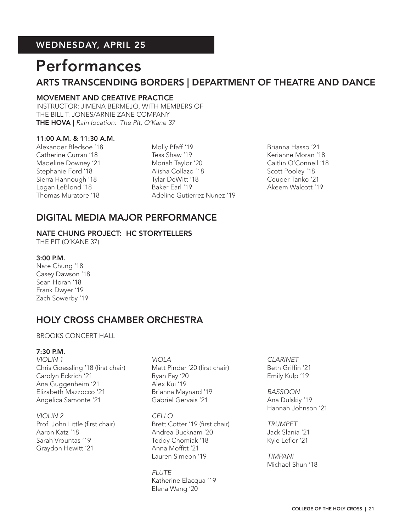## Performances

## ARTS TRANSCENDING BORDERS | DEPARTMENT OF THEATRE AND DANCE

#### MOVEMENT AND CREATIVE PRACTICE

INSTRUCTOR: JIMENA BERMEJO, WITH MEMBERS OF THE BILL T. JONES/ARNIE ZANE COMPANY THE HOVA | *Rain location: The Pit, O'Kane 37*

#### 11:00 A.M. & 11:30 A.M.

Alexander Bledsoe '18 Catherine Curran '18 Madeline Downey '21 Stephanie Ford '18 Sierra Hannough '18 Logan LeBlond '18 Thomas Muratore '18

Molly Pfaff '19 Tess Shaw '19 Moriah Taylor '20 Alisha Collazo '18 Tylar DeWitt '18 Baker Earl '19 Adeline Gutierrez Nunez '19 Brianna Hasso '21 Kerianne Moran '18 Caitlin O'Connell '18 Scott Pooley '18 Couper Tanko '21 Akeem Walcott '19

### DIGITAL MEDIA MAJOR PERFORMANCE

#### NATE CHUNG PROJECT: HC STORYTELLERS

THE PIT (O'KANE 37)

#### 3:00 P.M.

Nate Chung '18 Casey Dawson '18 Sean Horan '18 Frank Dwyer '19 Zach Sowerby '19

## HOLY CROSS CHAMBER ORCHESTRA

#### BROOKS CONCERT HALL

#### 7:30 P.M.

*VIOLIN 1* Chris Goessling '18 (first chair) Carolyn Eckrich '21 Ana Guggenheim '21 Elizabeth Mazzocco '21 Angelica Samonte '21

*VIOLIN 2* Prof. John Little (first chair) Aaron Katz '18 Sarah Vrountas '19 Graydon Hewitt '21

*VIOLA* Matt Pinder '20 (first chair) Ryan Fay '20 Alex Kui '19 Brianna Maynard '19 Gabriel Gervais '21

*CELLO* Brett Cotter '19 (first chair) Andrea Bucknam '20 Teddy Chomiak '18 Anna Moffitt '21 Lauren Simeon '19

*FLUTE* Katherine Elacqua '19 Elena Wang '20

*CLARINET* Beth Griffin '21 Emily Kulp '19

*BASSOON* Ana Dulskiy '19 Hannah Johnson '21

*TRUMPET* Jack Slania '21 Kyle Lefler '21

*TIMPANI* Michael Shun '18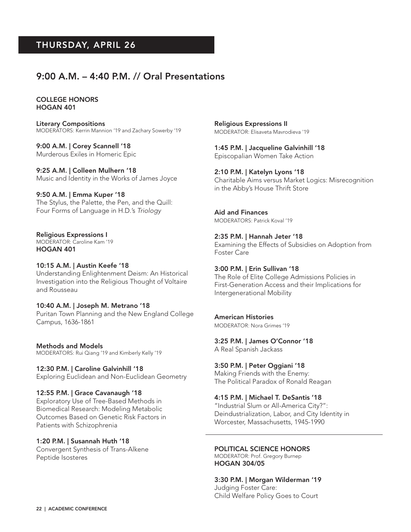### 9:00 A.M. – 4:40 P.M. // Oral Presentations

COLLEGE HONORS HOGAN 401

Literary Compositions MODERATORS: Kerrin Mannion '19 and Zachary Sowerby '19

9:00 A.M. | Corey Scannell '18 Murderous Exiles in Homeric Epic

9:25 A.M. | Colleen Mulhern '18 Music and Identity in the Works of James Joyce

9:50 A.M. | Emma Kuper '18 The Stylus, the Palette, the Pen, and the Quill: Four Forms of Language in H.D.'s *Triology*

Religious Expressions I MODERATOR: Caroline Kam '19

HOGAN 401

#### 10:15 A.M. | Austin Keefe '18

Understanding Enlightenment Deism: An Historical Investigation into the Religious Thought of Voltaire and Rousseau

#### 10:40 A.M. | Joseph M. Metrano '18

Puritan Town Planning and the New England College Campus, 1636-1861

Methods and Models MODERATORS: Rui Qiang '19 and Kimberly Kelly '19

12:30 P.M. | Caroline Galvinhill '18 Exploring Euclidean and Non-Euclidean Geometry

#### 12:55 P.M. | Grace Cavanaugh '18

Exploratory Use of Tree-Based Methods in Biomedical Research: Modeling Metabolic Outcomes Based on Genetic Risk Factors in Patients with Schizophrenia

#### 1:20 P.M. | Susannah Huth '18

Convergent Synthesis of Trans-Alkene Peptide Isosteres

Religious Expressions II MODERATOR: Elisaveta Mavrodieva '19

1:45 P.M. | Jacqueline Galvinhill '18 Episcopalian Women Take Action

2:10 P.M. | Katelyn Lyons '18 Charitable Aims versus Market Logics: Misrecognition in the Abby's House Thrift Store

Aid and Finances MODERATORS: Patrick Koval '19

#### 2:35 P.M. | Hannah Jeter '18

Examining the Effects of Subsidies on Adoption from Foster Care

#### 3:00 P.M. | Erin Sullivan '18

The Role of Elite College Admissions Policies in First-Generation Access and their Implications for Intergenerational Mobility

#### American Histories

MODERATOR: Nora Grimes '19

3:25 P.M. | James O'Connor '18

A Real Spanish Jackass

3:50 P.M. | Peter Oggiani '18 Making Friends with the Enemy: The Political Paradox of Ronald Reagan

4:15 P.M. | Michael T. DeSantis '18

"Industrial Slum or All-America City?": Deindustrialization, Labor, and City Identity in Worcester, Massachusetts, 1945-1990

#### POLITICAL SCIENCE HONORS

MODERATOR: Prof. Gregory Burnep HOGAN 304/05

3:30 P.M. | Morgan Wilderman '19 Judging Foster Care: Child Welfare Policy Goes to Court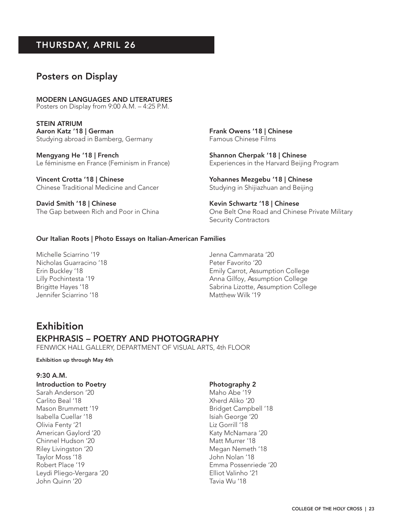### Posters on Display

MODERN LANGUAGES AND LITERATURES Posters on Display from 9:00 A.M. – 4:25 P.M.

STEIN ATRIUM Aaron Katz '18 | German Studying abroad in Bamberg, Germany

Mengyang He '18 | French Le féminisme en France (Feminism in France)

Vincent Crotta '18 | Chinese Chinese Traditional Medicine and Cancer

David Smith '18 | Chinese The Gap between Rich and Poor in China Frank Owens '18 | Chinese Famous Chinese Films

Shannon Cherpak '18 | Chinese Experiences in the Harvard Beijing Program

Yohannes Mezgebu '18 | Chinese Studying in Shijiazhuan and Beijing

Kevin Schwartz '18 | Chinese One Belt One Road and Chinese Private Military Security Contractors

#### Our Italian Roots | Photo Essays on Italian-American Families

Michelle Sciarrino '19 Nicholas Guarracino '18 Erin Buckley '18 Lilly Pochintesta '19 Brigitte Hayes '18 Jennifer Sciarrino '18

Jenna Cammarata '20 Peter Favorito '20 Emily Carrot, Assumption College Anna Gilfoy, Assumption College Sabrina Lizotte, Assumption College Matthew Wilk '19

### Exhibition

#### EKPHRASIS – POETRY AND PHOTOGRAPHY

FENWICK HALL GALLERY, DEPARTMENT OF VISUAL ARTS, 4th FLOOR

#### Exhibition up through May 4th

#### 9:30 A.M.

#### Introduction to Poetry

Sarah Anderson '20 Carlito Beal '18 Mason Brummett '19 Isabella Cuellar '18 Olivia Fenty '21 American Gaylord '20 Chinnel Hudson '20 Riley Livingston '20 Taylor Moss '18 Robert Place '19 Leydi Pliego-Vergara '20 John Quinn '20

#### Photography 2

Maho Abe '19 Xherd Aliko '20 Bridget Campbell '18 Isiah George '20 Liz Gorrill '18 Katy McNamara '20 Matt Murrer '18 Megan Nemeth '18 John Nolan '18 Emma Possenriede '20 Elliot Valinho '21 Tavia Wu '18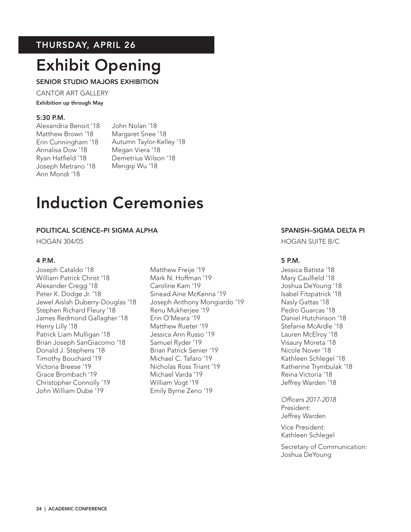## Exhibit Opening

SENIOR STUDIO MAJORS EXHIBITION

CANTOR ART GALLERY

Exhibition up through May

#### 5:30 P.M.

Alexandria Benoit '18 Matthew Brown '18 Erin Cunningham '18 Annalisa Dow '18 Ryan Hatfield '18 Joseph Metrano '18 Ann Mondi '18

John Nolan '18 Margaret Snee '18 Autumn Taylor-Kelley '18 Megan Viera '18 Demetrius Wilson '18 Mengqi Wu '18

## Induction Ceremonies

#### POLITICAL SCIENCE–PI SIGMA ALPHA

HOGAN 304/05

#### 4 P.M.

Joseph Cataldo '18 William Patrick Christ '18 Alexander Cregg '18 Peter X. Dodge Jr. '18 Jewel Aislah Duberry-Douglas '18 Stephen Richard Fleury '18 James Redmond Gallagher '18 Henry Lilly '18 Patrick Liam Mulligan '18 Brian Joseph SanGiacomo '18 Donald J. Stephens '18 Timothy Bouchard '19 Victoria Breese '19 Grace Brombach '19 Christopher Connolly '19 John William Dube '19

Matthew Freije '19 Mark N. Hoffman '19 Caroline Kam '19 Sinead Aine McKenna '19 Joseph Anthony Mongiardo '19 Renu Mukherjee '19 Erin O'Meara '19 Matthew Rueter '19 Jessica Ann Russo '19 Samuel Ryder '19 Brian Patrick Senier '19 Michael C. Tafaro '19 Nicholas Ross Triant '19 Michael Varda '19 William Vogt '19 Emily Byrne Zeno '19

#### SPANISH–SIGMA DELTA PI

HOGAN SUITE B/C

#### 5 P.M.

Jessica Batista '18 Mary Caulfield '18 Joshua DeYoung '18 Isabel Fitzpatrick '18 Nasly Gattas '18 Pedro Guarcas '18 Daniel Hutchinson '18 Stefanie McArdle '18 Lauren McElroy '18 Visaury Moreta '18 Nicole Nover '18 Kathleen Schlegel '18 Katherine Trymbulak '18 Reina Victoria '18 Jeffrey Warden '18

*Officers 2017-2018* President: Jeffrey Warden

Vice President: Kathleen Schlegel

Secretary of Communication: Joshua DeYoung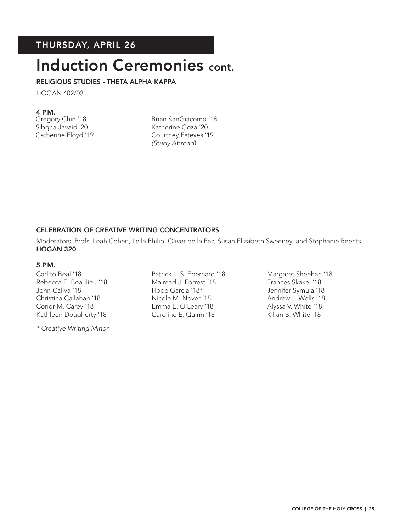## Induction Ceremonies cont.

#### RELIGIOUS STUDIES - THETA ALPHA KAPPA

HOGAN 402/03

#### 4 P.M.

Gregory Chin '18 Sibgha Javaid '20 Catherine Floyd '19

Brian SanGiacomo '18 Katherine Goza '20 Courtney Esteves '19 *(Study Abroad)*

#### CELEBRATION OF CREATIVE WRITING CONCENTRATORS

Moderators: Profs. Leah Cohen, Leila Philip, Oliver de la Paz, Susan Elizabeth Sweeney, and Stephanie Reents HOGAN 320

#### 5 P.M.

Carlito Beal '18 Rebecca E. Beaulieu '18 John Caliva '18 Christina Callahan '18 Conor M. Carey '18 Kathleen Dougherty '18

*\* Creative Writing Minor*

Patrick L. S. Eberhard '18 Mairead J. Forrest '18 Hope Garcia '18\* Nicole M. Nover '18 Emma E. O'Leary '18 Caroline E. Quinn '18

Margaret Sheehan '18 Frances Skakel '18 Jennifer Symula '18 Andrew J. Wells '18 Alyssa V. White '18 Kilian B. White '18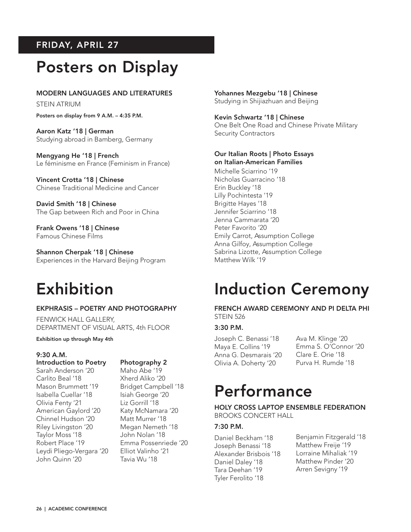## FRIDAY, APRIL 27

## Posters on Display

#### MODERN LANGUAGES AND LITERATURES

STEIN ATRIUM

Posters on display from 9 A.M. – 4:35 P.M.

Aaron Katz '18 | German Studying abroad in Bamberg, Germany

Mengyang He '18 | French Le féminisme en France (Feminism in France)

Vincent Crotta '18 | Chinese Chinese Traditional Medicine and Cancer

David Smith '18 | Chinese The Gap between Rich and Poor in China

Frank Owens '18 | Chinese Famous Chinese Films

Shannon Cherpak '18 | Chinese Experiences in the Harvard Beijing Program

## Exhibition

#### EKPHRASIS – POETRY AND PHOTOGRAPHY

FENWICK HALL GALLERY, DEPARTMENT OF VISUAL ARTS, 4th FLOOR

Exhibition up through May 4th

#### 9:30 A.M.

#### Introduction to Poetry Sarah Anderson '20 Carlito Beal '18 Mason Brummett '19 Isabella Cuellar '18 Olivia Fenty '21 American Gaylord '20 Chinnel Hudson '20 Riley Livingston '20 Taylor Moss '18 Robert Place '19 Leydi Pliego-Vergara '20

#### Photography 2

Maho Abe '19 Xherd Aliko '20 Bridget Campbell '18 Isiah George '20 Liz Gorrill '18 Katy McNamara '20 Matt Murrer '18 Megan Nemeth '18 John Nolan '18 Emma Possenriede '20 Elliot Valinho '21 Tavia Wu '18

Yohannes Mezgebu '18 | Chinese Studying in Shijiazhuan and Beijing

Kevin Schwartz '18 | Chinese One Belt One Road and Chinese Private Military Security Contractors

#### Our Italian Roots | Photo Essays on Italian-American Families

Michelle Sciarrino '19 Nicholas Guarracino '18 Erin Buckley '18 Lilly Pochintesta '19 Brigitte Hayes '18 Jennifer Sciarrino '18 Jenna Cammarata '20 Peter Favorito '20 Emily Carrot, Assumption College Anna Gilfoy, Assumption College Sabrina Lizotte, Assumption College Matthew Wilk '19

## Induction Ceremony

FRENCH AWARD CEREMONY AND PI DELTA PHI STEIN 526

#### 3:30 P.M.

Joseph C. Benassi '18 Maya E. Collins '19 Anna G. Desmarais '20 Olivia A. Doherty '20

Ava M. Klinge '20 Emma S. O'Connor '20 Clare E. Orie '18 Purva H. Rumde '18

## Performance

HOLY CROSS LAPTOP ENSEMBLE FEDERATION BROOKS CONCERT HALL

#### 7:30 P.M.

Daniel Beckham '18 Joseph Benassi '18 Alexander Brisbois '18 Daniel Daley '18 Tara Deehan '19 Tyler Ferolito '18

Benjamin Fitzgerald '18 Matthew Freije '19 Lorraine Mihaliak '19 Matthew Pinder '20 Arren Sevigny '19

John Quinn '20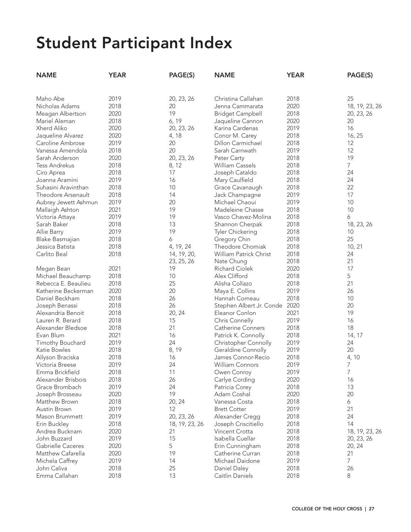| <b>NAME</b>          | <b>YEAR</b> | PAGE(S)        | <b>NAME</b>                   | <b>YEAR</b> | PAGE(S)        |
|----------------------|-------------|----------------|-------------------------------|-------------|----------------|
|                      |             |                |                               |             |                |
| Maho Abe             | 2019        | 20, 23, 26     | Christina Callahan            | 2018        | 25             |
| Nicholas Adams       | 2018        | 20             | Jenna Cammarata               | 2020        | 18, 19, 23, 26 |
| Meagan Albertson     | 2020        | 19             | <b>Bridget Campbell</b>       | 2018        | 20, 23, 26     |
| Mariel Aleman        | 2018        | 6, 19          | Jaqueline Cannon              | 2020        | 20             |
| Xherd Aliko          | 2020        | 20, 23, 26     | Karina Cardenas               | 2019        | 16             |
| Jaqueline Alvarez    | 2020        | 4, 18          | Conor M. Carey                | 2018        | 16, 25         |
| Caroline Ambrose     | 2019        | 20             | Dillon Carmichael             | 2018        | 12             |
| Vanessa Amendola     | 2018        | 20             | Sarah Carnwath                | 2019        | 12             |
| Sarah Anderson       | 2020        | 20, 23, 26     | Peter Carty                   | 2018        | 19             |
| <b>Tess Andrekus</b> | 2018        | 8, 12          | <b>William Cassels</b>        | 2018        | $\overline{7}$ |
| Ciro Aprea           | 2018        | 17             | Joseph Cataldo                | 2018        | 24             |
| Joanna Aramini       | 2019        | 16             | Mary Caulfield                | 2018        | 24             |
| Suhasini Aravinthan  | 2018        | 10             | Grace Cavanaugh               | 2018        | 22             |
| Theodore Arsenault   | 2018        | 14             | Jack Champagne                | 2019        | 17             |
| Aubrey Jewett Ashmun | 2019        | 20             | Michael Chaoui                | 2019        | 10             |
| Mallaigh Ashton      | 2021        | 19             | Madeleine Chasse              | 2018        | 10             |
| Victoria Attaya      | 2019        | 19             | Vasco Chavez-Molina           | 2018        | 6              |
| Sarah Baker          | 2018        | 13             | Shannon Cherpak               | 2018        | 18, 23, 26     |
| Allie Barry          | 2019        | 19             | Tyler Chickering              | 2018        | 10             |
| Blake Basmajian      | 2018        | 6              | Gregory Chin                  | 2018        | 25             |
| Jessica Batista      | 2018        | 4, 19, 24      | Theodore Chomiak              | 2018        | 10, 21         |
| Carlito Beal         | 2018        | 14, 19, 20,    | William Patrick Christ        | 2018        | 24             |
|                      |             | 23, 25, 26     | Nate Chung                    | 2018        | 21             |
| Megan Bean           | 2021        | 19             | <b>Richard Ciolek</b>         | 2020        | 17             |
| Michael Beauchamp    | 2018        | 10             | Alex Clifford                 | 2018        | 5              |
| Rebecca E. Beaulieu  | 2018        | 25             | Alisha Collazo                | 2018        | 21             |
| Katherine Beckerman  | 2020        | 20             | Maya E. Collins               | 2019        | 26             |
| Daniel Beckham       | 2018        | 26             | Hannah Comeau                 | 2018        | 10             |
| Joseph Benassi       | 2018        | 26             | Stephen Albert Jr. Conde 2020 |             | 20             |
| Alexandria Benoit    | 2018        | 20, 24         | Eleanor Conlon                | 2021        | 19             |
| Lauren R. Berard     | 2018        | 15             | Chris Connelly                | 2019        | 16             |
| Alexander Bledsoe    | 2018        | 21             | <b>Catherine Conners</b>      | 2018        | 18             |
| Evan Blum            | 2021        | 16             | Patrick K. Connolly           | 2018        | 14, 17         |
| Timothy Bouchard     | 2019        | 24             | Christopher Connolly          | 2019        | 24             |
| Katie Bowles         | 2018        | 8, 19          | Geraldine Connolly            | 2019        | 20             |
| Allyson Braciska     | 2018        | 16             | James Connor-Recio            | 2018        | 4, 10          |
| Victoria Breese      | 2019        | 24             | <b>William Connors</b>        | 2019        | 7              |
| Emma Brickfield      | 2018        | 11             | Owen Conroy                   | 2019        | 7              |
| Alexander Brisbois   | 2018        | 26             | Carlye Cording                | 2020        | 16             |
| Grace Brombach       | 2019        | 24             | Patricia Corey                | 2018        | 13             |
| Joseph Brosseau      | 2020        | 19             | Adam Coshal                   | 2020        | 20             |
| Matthew Brown        | 2018        | 20, 24         | Vanessa Costa                 | 2018        | 6              |
| Austin Brown         | 2019        | 12             | <b>Brett Cotter</b>           | 2019        | 21             |
| Mason Brummett       | 2019        | 20, 23, 26     | Alexander Cregg               | 2018        | 24             |
| Erin Buckley         | 2018        | 18, 19, 23, 26 | Joseph Criscitiello           | 2018        | 14             |
| Andrea Bucknam       | 2020        | 21             | Vincent Crotta                | 2018        | 18, 19, 23, 26 |
| John Buzzard         | 2019        | 15             | Isabella Cuellar              | 2018        | 20, 23, 26     |
| Gabrielle Caceres    | 2020        | 5              | Erin Cunningham               | 2018        | 20, 24         |
| Matthew Cafarella    | 2020        | 19             | Catherine Curran              | 2018        | 21             |
| Michela Caffrey      | 2019        | 14             | Michael Daidone               | 2019        | 7              |
| John Caliva          | 2018        | 25             | Daniel Daley                  | 2018        | 26             |
| Emma Callahan        | 2018        | 13             | Caitlin Daniels               | 2018        | 8              |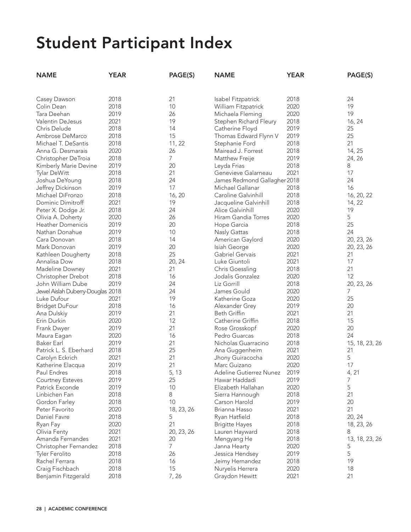| <b>NAME</b>                       | <b>YEAR</b> | PAGE(S)        | <b>NAME</b>                  | <b>YEAR</b> | PAGE(S)        |
|-----------------------------------|-------------|----------------|------------------------------|-------------|----------------|
|                                   |             |                |                              |             |                |
| Casey Dawson                      | 2018        | 21             | Isabel Fitzpatrick           | 2018        | 24             |
| Colin Dean                        | 2018        | 10             | William Fitzpatrick          | 2020        | 19             |
| Tara Deehan                       | 2019        | 26             | Michaela Fleming             | 2020        | 19             |
| <b>Valentin DeJesus</b>           | 2021        | 19             | Stephen Richard Fleury       | 2018        | 16, 24         |
| Chris Delude                      | 2018        | 14             | Catherine Floyd              | 2019        | 25             |
| Ambrose DeMarco                   | 2018        | 15             | Thomas Edward Flynn V        | 2019        | 25             |
| Michael T. DeSantis               | 2018        | 11, 22         | Stephanie Ford               | 2018        | 21             |
| Anna G. Desmarais                 | 2020        | 26             | Mairead J. Forrest           | 2018        | 14, 25         |
| Christopher DeTroia               | 2018        | $\overline{7}$ | Matthew Freije               | 2019        | 24, 26         |
| Kimberly Marie Devine             | 2019        | 20             | Leyda Frias                  | 2018        | 8              |
| Tylar DeWitt                      | 2018        | 21             | Genevieve Galarneau          | 2021        | 17             |
| Joshua DeYoung                    | 2018        | 24             | James Redmond Gallagher 2018 |             | 24             |
| Jeffrey Dickinson                 | 2019        | 17             | Michael Gallanar             | 2018        | 16             |
| Michael DiFronzo                  | 2018        | 16, 20         | Caroline Galvinhill          | 2018        | 16, 20, 22     |
| Dominic Dimitroff                 | 2021        | 19             | Jacqueline Galvinhill        | 2018        | 14, 22         |
| Peter X. Dodge Jr.                | 2018        | 24             | Alice Galvinhill             | 2020        | 19             |
| Olivia A. Doherty                 | 2020        | 26             | Hiram Gandia Torres          | 2020        | 5              |
| <b>Heather Domenicis</b>          | 2019        | 20             | Hope Garcia                  | 2018        | 25             |
| Nathan Donahue                    | 2019        | 10             | Nasly Gattas                 | 2018        | 24             |
| Cara Donovan                      | 2018        | 14             | American Gaylord             | 2020        | 20, 23, 26     |
| Mark Donovan                      | 2019        | 20             | Isiah George                 | 2020        | 20, 23, 26     |
| Kathleen Dougherty                | 2018        | 25             | Gabriel Gervais              | 2021        | 21             |
| Annalisa Dow                      | 2018        | 20, 24         | Luke Giuntoli                | 2021        | 17             |
| Madeline Downey                   | 2021        | 21             | <b>Chris Goessling</b>       | 2018        | 21             |
| Christopher Drebot                | 2018        | 16             | Jodalis Gonzalez             | 2020        | 12             |
| John William Dube                 | 2019        | 24             | Liz Gorrill                  | 2018        | 20, 23, 26     |
| Jewel Aislah Duberry-Douglas 2018 |             | 24             | James Gould                  | 2020        | 7              |
| Luke Dufour                       | 2021        | 19             | Katherine Goza               | 2020        | 25             |
| <b>Bridget DuFour</b>             | 2018        | 16             | Alexander Grey               | 2019        | 20             |
| Ana Dulskiy                       | 2019        | 21             | <b>Beth Griffin</b>          | 2021        | 21             |
| Erin Durkin                       | 2020        | 12             | Catherine Griffin            | 2018        | 15             |
| Frank Dwyer                       | 2019        | 21             | Rose Grosskopf               | 2020        | 20             |
| Maura Eagan                       | 2020        | 16             | Pedro Guarcas                | 2018        | 24             |
| <b>Baker Earl</b>                 | 2019        | 21             | Nicholas Guarracino          | 2018        | 15, 18, 23, 26 |
| Patrick L. S. Eberhard            | 2018        | 25             | Ana Guggenheim               | 2021        | 21             |
| Carolyn Eckrich                   | 2021        | 21             | Jhony Guiracocha             | 2020        | 5              |
| Katherine Elacqua                 | 2019        | 21             | Marc Guizano                 | 2020        | 17             |
| Paul Endres                       | 2018        | 5, 13          | Adeline Gutierrez Nunez      | 2019        | 4, 21          |
| <b>Courtney Esteves</b>           | 2019        | 25             | Hawar Haddadi                | 2019        | $\overline{7}$ |
| Patrick Exconde                   | 2019        | 10             | Elizabeth Hallahan           | 2020        | 5              |
| Linbichen Fan                     | 2018        | 8              | Sierra Hannough              | 2018        | 21             |
| Gordon Farley                     | 2018        | 10             | Carson Harold                | 2019        | 20             |
| Peter Favorito                    | 2020        | 18, 23, 26     | Brianna Hasso                | 2021        | 21             |
| Daniel Favre                      | 2018        | 5              | Ryan Hatfield                | 2018        | 20, 24         |
| Ryan Fay                          | 2020        | 21             | <b>Brigitte Hayes</b>        | 2018        | 18, 23, 26     |
| Olivia Fenty                      | 2021        | 20, 23, 26     | Lauren Hayward               | 2018        | 8              |
| Amanda Fernandes                  | 2021        | 20             | Mengyang He                  | 2018        | 13, 18, 23, 26 |
| Christopher Fernandez             | 2018        | $\overline{7}$ | Janna Hearty                 | 2020        | 5              |
| Tyler Ferolito                    | 2018        | 26             | Jessica Hendsey              | 2019        | 5              |
| Rachel Ferrara                    | 2018        | 16             | Jeimy Hernandez              | 2018        | 19             |
| Craig Fischbach                   | 2018        | 15             | Nuryelis Herrera             | 2020        | 18             |
| Benjamin Fitzgerald               | 2018        | 7,26           | Graydon Hewitt               | 2021        | 21             |
|                                   |             |                |                              |             |                |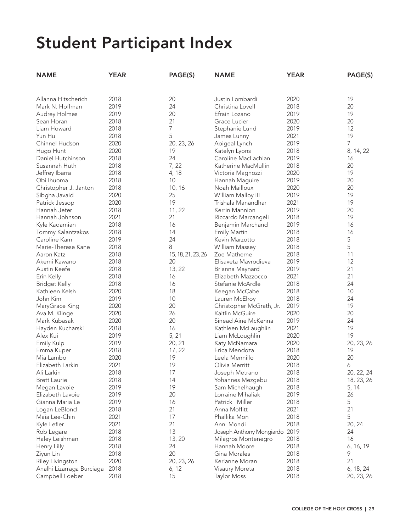| <b>NAME</b>               | <b>YEAR</b> | PAGE(S)            | <b>NAME</b>                   | <b>YEAR</b> | PAGE(S)    |
|---------------------------|-------------|--------------------|-------------------------------|-------------|------------|
|                           |             |                    |                               |             |            |
| Allanna Hitscherich       | 2018        | 20                 | Justin Lombardi               | 2020        | 19         |
| Mark N. Hoffman           | 2019        | 24                 | Christina Lovell              | 2018        | 20         |
| Audrey Holmes             | 2019        | 20                 | Efrain Lozano                 | 2019        | 19         |
| Sean Horan                | 2018        | 21                 | Grace Lucier                  | 2020        | 20         |
| Liam Howard               | 2018        | 7                  | Stephanie Lund                | 2019        | 12         |
| Yun Hu                    | 2018        | 5                  | James Lunny                   | 2021        | 19         |
| Chinnel Hudson            | 2020        | 20, 23, 26         | Abigeal Lynch                 | 2019        | 7          |
| Hugo Hunt                 | 2020        | 19                 | Katelyn Lyons                 | 2018        | 8, 14, 22  |
| Daniel Hutchinson         | 2018        | 24                 | Caroline MacLachlan           | 2019        | 16         |
| Susannah Huth             | 2018        | 7, 22              | Katherine MacMullin           | 2018        | 20         |
| Jeffrey Ibarra            | 2018        | 4, 18              | Victoria Magnozzi             | 2020        | 19         |
| Obi Ihuoma                | 2018        | 10                 | Hannah Maguire                | 2019        | 20         |
| Christopher J. Janton     | 2018        | 10, 16             | Noah Mailloux                 | 2020        | 20         |
| Sibgha Javaid             | 2020        | 25                 | William Malloy III            | 2019        | 19         |
| Patrick Jessop            | 2020        | 19                 | Trishala Manandhar            | 2021        | 19         |
| Hannah Jeter              | 2018        | 11, 22             | Kerrin Mannion                | 2019        | 20         |
| Hannah Johnson            | 2021        | 21                 | Riccardo Marcangeli           | 2018        | 19         |
| Kyle Kadamian             | 2018        | 16                 | Benjamin Marchand             | 2019        | 16         |
| Tommy Kalantzakos         | 2018        | 14                 | <b>Emily Martin</b>           | 2018        | 16         |
| Caroline Kam              | 2019        | 24                 | Kevin Marzotto                | 2018        | 5          |
| Marie-Therese Kane        | 2018        | 8                  | William Massey                | 2018        | 5          |
| Aaron Katz                | 2018        | 15, 18, 21, 23, 26 | Zoe Matherne                  | 2018        | 11         |
| Akemi Kawano              | 2018        | 20                 | Elisaveta Mavrodieva          | 2019        | 12         |
| Austin Keefe              | 2018        | 13, 22             | Brianna Maynard               | 2019        | 21         |
| Erin Kelly                | 2018        | 16                 | Elizabeth Mazzocco            | 2021        | 21         |
| <b>Bridget Kelly</b>      | 2018        | 16                 | Stefanie McArdle              | 2018        | 24         |
| Kathleen Kelsh            | 2020        | 18                 | Keegan McCabe                 | 2018        | 10         |
| John Kim                  | 2019        | 10                 | Lauren McElroy                | 2018        | 24         |
| MaryGrace King            | 2020        | 20                 | Christopher McGrath, Jr.      | 2019        | 19         |
| Ava M. Klinge             | 2020        | 26                 | Kaitlin McGuire               | 2020        | 20         |
| Mark Kubasak              | 2020        | 20                 | Sinead Aine McKenna           | 2019        | 24         |
| Hayden Kucharski          | 2018        | 16                 | Kathleen McLaughlin           | 2021        | 19         |
| Alex Kui                  | 2019        | 5, 21              | Liam McLoughlin               | 2020        | 19         |
| Emily Kulp                | 2019        | 20, 21             | Katy McNamara                 | 2020        | 20, 23, 26 |
| Emma Kuper                | 2018        | 17, 22             | Erica Mendoza                 | 2018        | 19         |
| Mia Lambo                 | 2020        | 19                 | Leela Mennillo                | 2020        | 20         |
| Elizabeth Larkin          | 2021        | 19                 | Olivia Merritt                | 2018        | 6          |
| Ali Larkin                | 2018        | 17                 | Joseph Metrano                | 2018        | 20, 22, 24 |
| <b>Brett Laurie</b>       | 2018        | 14                 | Yohannes Mezgebu              | 2018        | 18, 23, 26 |
| Megan Lavoie              | 2019        | 19                 | Sam Michelhaugh               | 2018        | 5, 14      |
| Elizabeth Lavoie          | 2019        | 20                 | Lorraine Mihaliak             | 2019        | 26         |
| Gianna Maria Le           | 2019        | 16                 | Patrick Miller                | 2018        | 5          |
| Logan LeBlond             | 2018        | 21                 | Anna Moffitt                  | 2021        | 21         |
| Maia Lee-Chin             | 2021        | 17                 | Phallika Mon                  | 2018        | 5          |
| Kyle Lefler               | 2021        | 21                 | Ann Mondi                     | 2018        | 20, 24     |
| Rob Legare                | 2018        | 13                 | Joseph Anthony Mongiardo 2019 |             | 24         |
| Haley Leishman            | 2018        | 13, 20             | Milagros Montenegro           | 2018        | 16         |
| Henry Lilly               | 2018        | 24                 | Hannah Moore                  | 2018        | 6, 16, 19  |
| Ziyun Lin                 | 2018        | 20                 | Gina Morales                  | 2018        | 9          |
| Riley Livingston          | 2020        | 20, 23, 26         | Kerianne Moran                | 2018        | 21         |
| Analhi Lizarraga Burciaga | 2018        | 6, 12              | Visaury Moreta                | 2018        | 6, 18, 24  |
| Campbell Loeber           | 2018        | 15                 | <b>Taylor Moss</b>            | 2018        | 20, 23, 26 |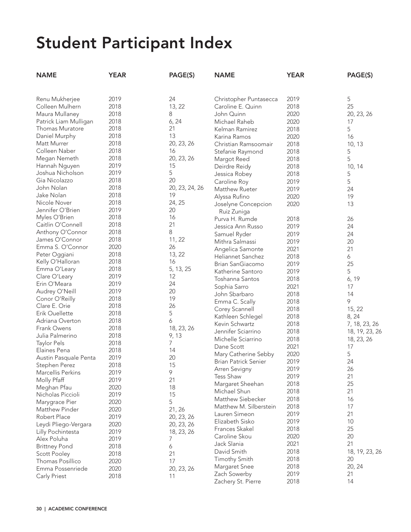| <b>NAME</b>                      | <b>YEAR</b>  | PAGE(S)        | <b>NAME</b>            | <b>YEAR</b> | PAGE(S)        |
|----------------------------------|--------------|----------------|------------------------|-------------|----------------|
|                                  |              |                |                        |             |                |
| Renu Mukherjee                   | 2019         | 24             | Christopher Puntasecca | 2019        | 5              |
| Colleen Mulhern                  | 2018         | 13, 22         | Caroline E. Quinn      | 2018        | 25             |
| Maura Mullaney                   | 2018         | 8              | John Quinn             | 2020        | 20, 23, 26     |
| Patrick Liam Mulligan            | 2018         | 6, 24          | Michael Raheb          | 2020        | 17             |
| Thomas Muratore                  | 2018         | 21             | Kelman Ramirez         | 2018        | 5              |
| Daniel Murphy                    | 2018         | 13             | Karina Ramos           | 2020        | 16             |
| Matt Murrer                      | 2018         | 20, 23, 26     | Christian Ramsoomair   | 2018        | 10, 13         |
| Colleen Naber                    | 2018         | 16             | Stefanie Raymond       | 2018        | 5              |
| Megan Nemeth                     | 2018         | 20, 23, 26     | Margot Reed            | 2018        | 5              |
| Hannah Nguyen                    | 2019         | 15             | Deirdre Reidy          | 2018        | 10, 14         |
| Joshua Nicholson                 | 2019         | 5              | Jessica Robey          | 2018        | 5              |
| Gia Nicolazzo                    | 2018         | 20             | Caroline Roy           | 2019        | 5              |
| John Nolan                       | 2018         | 20, 23, 24, 26 | Matthew Rueter         | 2019        | 24             |
| Jake Nolan                       | 2018         | 19             | Alyssa Rufino          | 2020        | 19             |
| Nicole Nover                     | 2018         | 24, 25         | Joselyne Concepcion    | 2020        | 13             |
| Jennifer O'Brien                 | 2019         | 20             | Ruiz Zuniga            |             |                |
| Myles O'Brien                    | 2018         | 16             | Purva H. Rumde         | 2018        | 26             |
| Caitlin O'Connell                | 2018         | 21             | Jessica Ann Russo      | 2019        | 24             |
| Anthony O'Connor                 | 2018         | 8              | Samuel Ryder           | 2019        | 24             |
| James O'Connor                   | 2018         | 11, 22         | Mithra Salmassi        | 2019        | 20             |
| Emma S. O'Connor                 | 2020         | 26             | Angelica Samonte       | 2021        | 21             |
| Peter Oggiani                    | 2018         | 13, 22         | Heliannet Sanchez      | 2018        |                |
| Kelly O'Halloran                 | 2018         | 16             |                        |             | 6<br>25        |
| Emma O'Leary                     | 2018         | 5, 13, 25      | Brian SanGiacomo       | 2019        |                |
| Clare O'Leary                    | 2019         | 12             | Katherine Santoro      | 2019        | 5              |
| Erin O'Meara                     | 2019         | 24             | Toshanna Santos        | 2018        | 6, 19          |
| Audrey O'Neill                   | 2019         | 20             | Sophia Sarro           | 2021        | 17             |
| Conor O'Reilly                   | 2018         | 19             | John Sbarbaro          | 2018        | 14             |
| Clare E. Orie                    | 2018         | 26             | Emma C. Scally         | 2018        | 9              |
| Erik Ouellette                   | 2018         | 5              | Corey Scannell         | 2018        | 15, 22         |
| Adriana Overton                  | 2018         | 6              | Kathleen Schlegel      | 2018        | 8, 24          |
| Frank Owens                      | 2018         | 18, 23, 26     | Kevin Schwartz         | 2018        | 7, 18, 23, 26  |
| Julia Palmerino                  | 2018         | 9, 13          | Jennifer Sciarrino     | 2018        | 18, 19, 23, 26 |
| <b>Taylor Pels</b>               | 2018         | 7              | Michelle Sciarrino     | 2018        | 18, 23, 26     |
| Elaines Pena                     | 2018         | 14             | Dane Scott             | 2021        | 17             |
| Austin Pasquale Penta            | 2019         | 20             | Mary Catherine Sebby   | 2020        | 5              |
| Stephen Perez                    | 2018         | 15             | Brian Patrick Senier   | 2019        | 24             |
| Marcellis Perkins                | 2019         | 9              | Arren Sevigny          | 2019        | 26             |
| Molly Pfaff                      | 2019         | 21             | <b>Tess Shaw</b>       | 2019        | 21             |
| Meghan Pfau                      | 2020         | 18             | Margaret Sheehan       | 2018        | 25             |
| Nicholas Piccioli                | 2019         | 15             | Michael Shun           | 2018        | 21             |
| Marygrace Pier                   | 2020         | 5              | Matthew Siebecker      | 2018        | 16             |
| Matthew Pinder                   | 2020         | 21, 26         | Matthew M. Silberstein | 2018        | 17             |
| Robert Place                     | 2019         | 20, 23, 26     | Lauren Simeon          | 2019        | 21             |
| Leydi Pliego-Vergara             | 2020         | 20, 23, 26     | Elizabeth Sisko        | 2019        | 10             |
| Lilly Pochintesta                | 2019         | 18, 23, 26     | Frances Skakel         | 2018        | 25             |
| Alex Poluha                      | 2019         | 7              | Caroline Skou          | 2020        | 20             |
| <b>Brittney Pond</b>             | 2018         | 6              | Jack Slania            | 2021        | 21             |
|                                  | 2018         | 21             | David Smith            | 2018        | 18, 19, 23, 26 |
| Scott Pooley<br>Thomas Posillico | 2020         | 17             | Timothy Smith          | 2018        | 20             |
| Emma Possenriede                 |              |                | Margaret Snee          | 2018        | 20, 24         |
|                                  | 2020<br>2018 | 20, 23, 26     | Zach Sowerby           | 2019        | 21             |
| Carly Priest                     |              | 11             | Zachery St. Pierre     | 2018        | 14             |
|                                  |              |                |                        |             |                |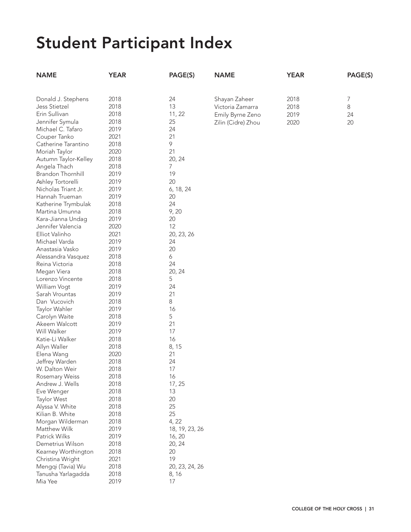| <b>NAME</b>          | <b>YEAR</b> | PAGE(S)        | <b>NAME</b>        | <b>YEAR</b> | PAGE(S) |
|----------------------|-------------|----------------|--------------------|-------------|---------|
|                      |             |                |                    |             |         |
| Donald J. Stephens   | 2018        | 24             | Shayan Zaheer      | 2018        | 7       |
| Jess Stietzel        | 2018        | 13             | Victoria Zamarra   | 2018        | 8       |
| Erin Sullivan        | 2018        | 11, 22         | Emily Byrne Zeno   | 2019        | 24      |
| Jennifer Symula      | 2018        | 25             |                    |             |         |
| Michael C. Tafaro    | 2019        | 24             | Zilin (Cidre) Zhou | 2020        | 20      |
| Couper Tanko         | 2021        | 21             |                    |             |         |
| Catherine Tarantino  | 2018        | 9              |                    |             |         |
|                      |             | 21             |                    |             |         |
| Moriah Taylor        | 2020        |                |                    |             |         |
| Autumn Taylor-Kelley | 2018        | 20, 24         |                    |             |         |
| Angela Thach         | 2018        | 7              |                    |             |         |
| Brandon Thornhill    | 2019        | 19             |                    |             |         |
| Ashley Tortorelli    | 2019        | 20             |                    |             |         |
| Nicholas Triant Jr.  | 2019        | 6, 18, 24      |                    |             |         |
| Hannah Trueman       | 2019        | 20             |                    |             |         |
| Katherine Trymbulak  | 2018        | 24             |                    |             |         |
| Martina Umunna       | 2018        | 9,20           |                    |             |         |
| Kara-Jianna Undag    | 2019        | 20             |                    |             |         |
| Jennifer Valencia    | 2020        | 12             |                    |             |         |
| Elliot Valinho       | 2021        | 20, 23, 26     |                    |             |         |
| Michael Varda        | 2019        | 24             |                    |             |         |
| Anastasia Vasko      | 2019        | 20             |                    |             |         |
| Alessandra Vasquez   | 2018        | 6              |                    |             |         |
| Reina Victoria       | 2018        | 24             |                    |             |         |
| Megan Viera          | 2018        | 20, 24         |                    |             |         |
| Lorenzo Vincente     | 2018        | 5              |                    |             |         |
| William Vogt         | 2019        | 24             |                    |             |         |
| Sarah Vrountas       | 2019        | 21             |                    |             |         |
| Dan Vucovich         | 2018        | 8              |                    |             |         |
| Taylor Wahler        | 2019        | 16             |                    |             |         |
| Carolyn Waite        | 2018        | 5              |                    |             |         |
| Akeem Walcott        | 2019        | 21             |                    |             |         |
| Will Walker          | 2019        | 17             |                    |             |         |
| Katie-Li Walker      | 2018        | 16             |                    |             |         |
| Allyn Waller         | 2018        | 8, 15          |                    |             |         |
| Elena Wang           | 2020        | 21             |                    |             |         |
| Jeffrey Warden       | 2018        | 24             |                    |             |         |
| W. Dalton Weir       | 2018        | 17             |                    |             |         |
| Rosemary Weiss       | 2018        | 16             |                    |             |         |
| Andrew J. Wells      | 2018        | 17, 25         |                    |             |         |
| Eve Wenger           | 2018        | 13             |                    |             |         |
| Taylor West          | 2018        | 20             |                    |             |         |
| Alyssa V. White      | 2018        | 25             |                    |             |         |
| Kilian B. White      | 2018        | 25             |                    |             |         |
| Morgan Wilderman     | 2018        | 4, 22          |                    |             |         |
| Matthew Wilk         | 2019        | 18, 19, 23, 26 |                    |             |         |
| Patrick Wilks        | 2019        | 16, 20         |                    |             |         |
| Demetrius Wilson     | 2018        | 20, 24         |                    |             |         |
| Kearney Worthington  | 2018        | 20             |                    |             |         |
| Christina Wright     | 2021        | 19             |                    |             |         |
| Mengqi (Tavia) Wu    | 2018        | 20, 23, 24, 26 |                    |             |         |
| Tanusha Yarlagadda   | 2018        | 8, 16          |                    |             |         |
| Mia Yee              | 2019        | 17             |                    |             |         |
|                      |             |                |                    |             |         |